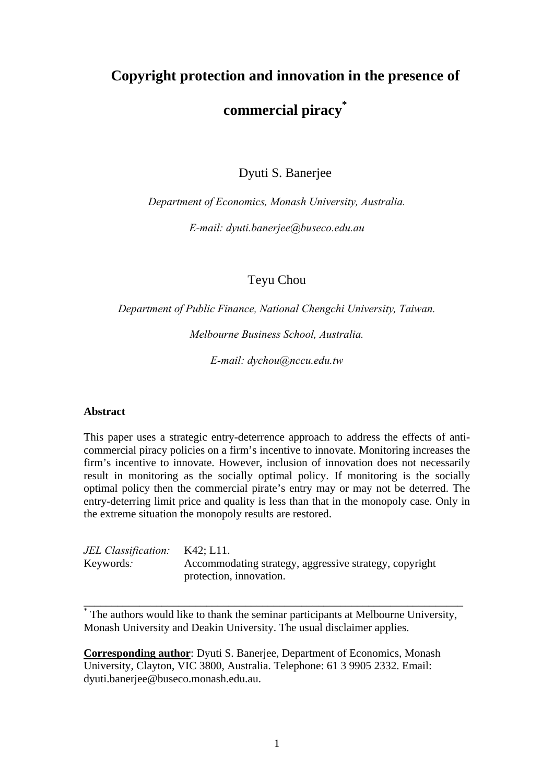# **Copyright protection and innovation in the presence of commercial piracy\***

Dyuti S. Banerjee

*Department of Economics, Monash University, Australia.* 

*E-mail: dyuti.banerjee@buseco.edu.au* 

Teyu Chou

*Department of Public Finance, National Chengchi University, Taiwan.* 

*Melbourne Business School, Australia.* 

*E-mail: dychou@nccu.edu.tw* 

### **Abstract**

This paper uses a strategic entry-deterrence approach to address the effects of anticommercial piracy policies on a firm's incentive to innovate. Monitoring increases the firm's incentive to innovate. However, inclusion of innovation does not necessarily result in monitoring as the socially optimal policy. If monitoring is the socially optimal policy then the commercial pirate's entry may or may not be deterred. The entry-deterring limit price and quality is less than that in the monopoly case. Only in the extreme situation the monopoly results are restored.

| JEL Classification: K42; L11. |                                                        |
|-------------------------------|--------------------------------------------------------|
| Keywords:                     | Accommodating strategy, aggressive strategy, copyright |
|                               | protection, innovation.                                |

\* The authors would like to thank the seminar participants at Melbourne University, Monash University and Deakin University. The usual disclaimer applies.

\_\_\_\_\_\_\_\_\_\_\_\_\_\_\_\_\_\_\_\_\_\_\_\_\_\_\_\_\_\_\_\_\_\_\_\_\_\_\_\_\_\_\_\_\_\_\_\_\_\_\_\_\_\_\_\_\_\_\_\_\_\_\_\_\_\_\_\_

**Corresponding author**: Dyuti S. Banerjee, Department of Economics, Monash University, Clayton, VIC 3800, Australia. Telephone: 61 3 9905 2332. Email: dyuti.banerjee@buseco.monash.edu.au.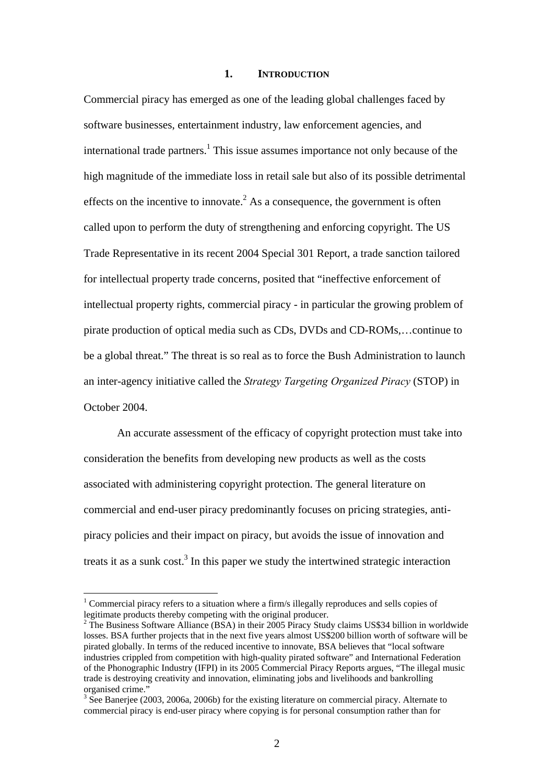## **1. INTRODUCTION**

Commercial piracy has emerged as one of the leading global challenges faced by software businesses, entertainment industry, law enforcement agencies, and international trade partners.<sup>1</sup> This issue assumes importance not only because of the high magnitude of the immediate loss in retail sale but also of its possible detrimental effects on the incentive to innovate.<sup>2</sup> As a consequence, the government is often called upon to perform the duty of strengthening and enforcing copyright. The US Trade Representative in its recent 2004 Special 301 Report, a trade sanction tailored for intellectual property trade concerns, posited that "ineffective enforcement of intellectual property rights, commercial piracy - in particular the growing problem of pirate production of optical media such as CDs, DVDs and CD-ROMs,…continue to be a global threat." The threat is so real as to force the Bush Administration to launch an inter-agency initiative called the *Strategy Targeting Organized Piracy* (STOP) in October 2004.

An accurate assessment of the efficacy of copyright protection must take into consideration the benefits from developing new products as well as the costs associated with administering copyright protection. The general literature on commercial and end-user piracy predominantly focuses on pricing strategies, antipiracy policies and their impact on piracy, but avoids the issue of innovation and treats it as a sunk cost.<sup>3</sup> In this paper we study the intertwined strategic interaction

<u>.</u>

<sup>&</sup>lt;sup>1</sup> Commercial piracy refers to a situation where a firm/s illegally reproduces and sells copies of legitimate products thereby competing with the original producer.

 $2$  The Business Software Alliance (BSA) in their 2005 Piracy Study claims US\$34 billion in worldwide losses. BSA further projects that in the next five years almost US\$200 billion worth of software will be pirated globally. In terms of the reduced incentive to innovate, BSA believes that "local software industries crippled from competition with high-quality pirated software" and International Federation of the Phonographic Industry (IFPI) in its 2005 Commercial Piracy Reports argues, "The illegal music trade is destroying creativity and innovation, eliminating jobs and livelihoods and bankrolling organised crime."

 $3\text{ See B}$ anerjee (2003, 2006a, 2006b) for the existing literature on commercial piracy. Alternate to commercial piracy is end-user piracy where copying is for personal consumption rather than for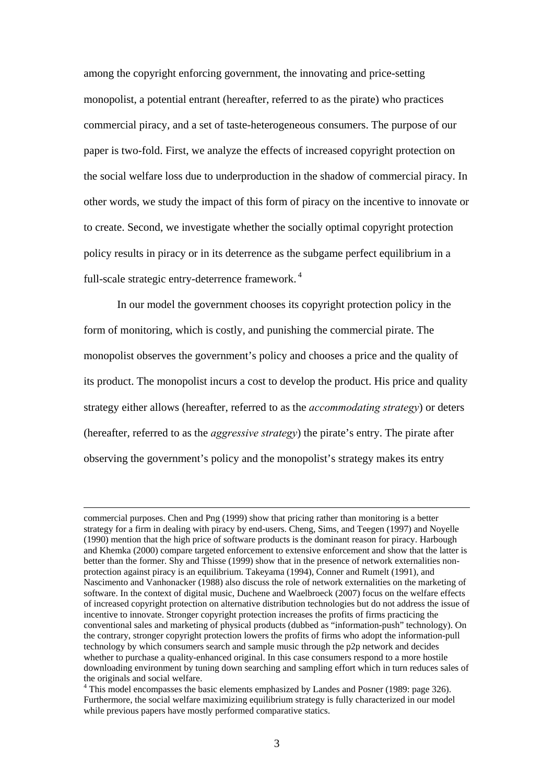among the copyright enforcing government, the innovating and price-setting monopolist, a potential entrant (hereafter, referred to as the pirate) who practices commercial piracy, and a set of taste-heterogeneous consumers. The purpose of our paper is two-fold. First, we analyze the effects of increased copyright protection on the social welfare loss due to underproduction in the shadow of commercial piracy. In other words, we study the impact of this form of piracy on the incentive to innovate or to create. Second, we investigate whether the socially optimal copyright protection policy results in piracy or in its deterrence as the subgame perfect equilibrium in a full-scale strategic entry-deterrence framework. 4

In our model the government chooses its copyright protection policy in the form of monitoring, which is costly, and punishing the commercial pirate. The monopolist observes the government's policy and chooses a price and the quality of its product. The monopolist incurs a cost to develop the product. His price and quality strategy either allows (hereafter, referred to as the *accommodating strategy*) or deters (hereafter, referred to as the *aggressive strategy*) the pirate's entry. The pirate after observing the government's policy and the monopolist's strategy makes its entry

commercial purposes. Chen and Png (1999) show that pricing rather than monitoring is a better strategy for a firm in dealing with piracy by end-users. Cheng, Sims, and Teegen (1997) and Noyelle (1990) mention that the high price of software products is the dominant reason for piracy. Harbough and Khemka (2000) compare targeted enforcement to extensive enforcement and show that the latter is better than the former. Shy and Thisse (1999) show that in the presence of network externalities nonprotection against piracy is an equilibrium. Takeyama (1994), Conner and Rumelt (1991), and Nascimento and Vanhonacker (1988) also discuss the role of network externalities on the marketing of software. In the context of digital music, Duchene and Waelbroeck (2007) focus on the welfare effects of increased copyright protection on alternative distribution technologies but do not address the issue of incentive to innovate. Stronger copyright protection increases the profits of firms practicing the conventional sales and marketing of physical products (dubbed as "information-push" technology). On the contrary, stronger copyright protection lowers the profits of firms who adopt the information-pull technology by which consumers search and sample music through the p2p network and decides whether to purchase a quality-enhanced original. In this case consumers respond to a more hostile downloading environment by tuning down searching and sampling effort which in turn reduces sales of the originals and social welfare.

<sup>&</sup>lt;sup>4</sup> This model encompasses the basic elements emphasized by Landes and Posner (1989: page 326). Furthermore, the social welfare maximizing equilibrium strategy is fully characterized in our model while previous papers have mostly performed comparative statics.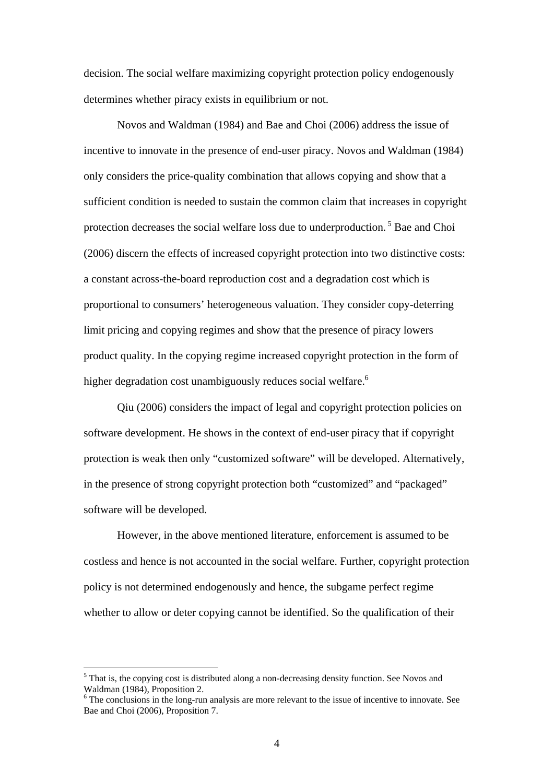decision. The social welfare maximizing copyright protection policy endogenously determines whether piracy exists in equilibrium or not.

Novos and Waldman (1984) and Bae and Choi (2006) address the issue of incentive to innovate in the presence of end-user piracy. Novos and Waldman (1984) only considers the price-quality combination that allows copying and show that a sufficient condition is needed to sustain the common claim that increases in copyright protection decreases the social welfare loss due to underproduction. 5 Bae and Choi (2006) discern the effects of increased copyright protection into two distinctive costs: a constant across-the-board reproduction cost and a degradation cost which is proportional to consumers' heterogeneous valuation. They consider copy-deterring limit pricing and copying regimes and show that the presence of piracy lowers product quality. In the copying regime increased copyright protection in the form of higher degradation cost unambiguously reduces social welfare.<sup>6</sup>

Qiu (2006) considers the impact of legal and copyright protection policies on software development. He shows in the context of end-user piracy that if copyright protection is weak then only "customized software" will be developed. Alternatively, in the presence of strong copyright protection both "customized" and "packaged" software will be developed.

However, in the above mentioned literature, enforcement is assumed to be costless and hence is not accounted in the social welfare. Further, copyright protection policy is not determined endogenously and hence, the subgame perfect regime whether to allow or deter copying cannot be identified. So the qualification of their

<sup>&</sup>lt;sup>5</sup> That is, the copying cost is distributed along a non-decreasing density function. See Novos and Waldman (1984), Proposition 2.

<sup>&</sup>lt;sup>6</sup> The conclusions in the long-run analysis are more relevant to the issue of incentive to innovate. See Bae and Choi (2006), Proposition 7.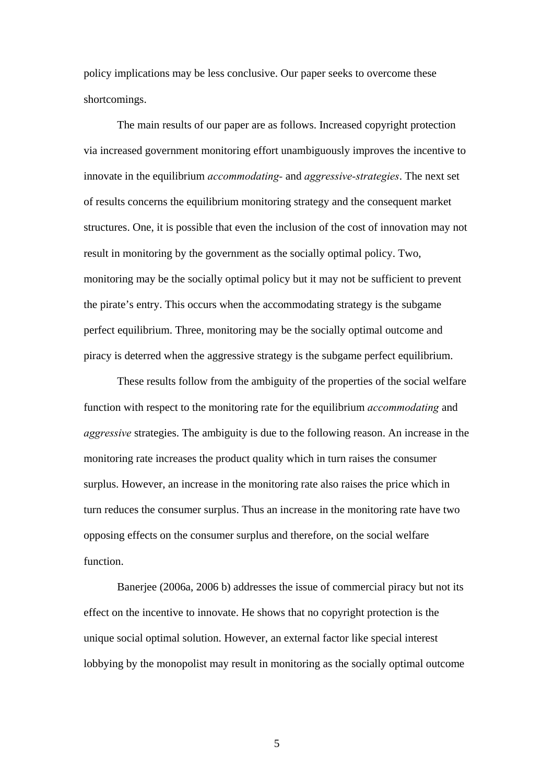policy implications may be less conclusive. Our paper seeks to overcome these shortcomings.

The main results of our paper are as follows. Increased copyright protection via increased government monitoring effort unambiguously improves the incentive to innovate in the equilibrium *accommodating-* and *aggressive-strategies*. The next set of results concerns the equilibrium monitoring strategy and the consequent market structures. One, it is possible that even the inclusion of the cost of innovation may not result in monitoring by the government as the socially optimal policy. Two, monitoring may be the socially optimal policy but it may not be sufficient to prevent the pirate's entry. This occurs when the accommodating strategy is the subgame perfect equilibrium. Three, monitoring may be the socially optimal outcome and piracy is deterred when the aggressive strategy is the subgame perfect equilibrium.

These results follow from the ambiguity of the properties of the social welfare function with respect to the monitoring rate for the equilibrium *accommodating* and *aggressive* strategies. The ambiguity is due to the following reason. An increase in the monitoring rate increases the product quality which in turn raises the consumer surplus. However, an increase in the monitoring rate also raises the price which in turn reduces the consumer surplus. Thus an increase in the monitoring rate have two opposing effects on the consumer surplus and therefore, on the social welfare function.

Banerjee (2006a, 2006 b) addresses the issue of commercial piracy but not its effect on the incentive to innovate. He shows that no copyright protection is the unique social optimal solution. However, an external factor like special interest lobbying by the monopolist may result in monitoring as the socially optimal outcome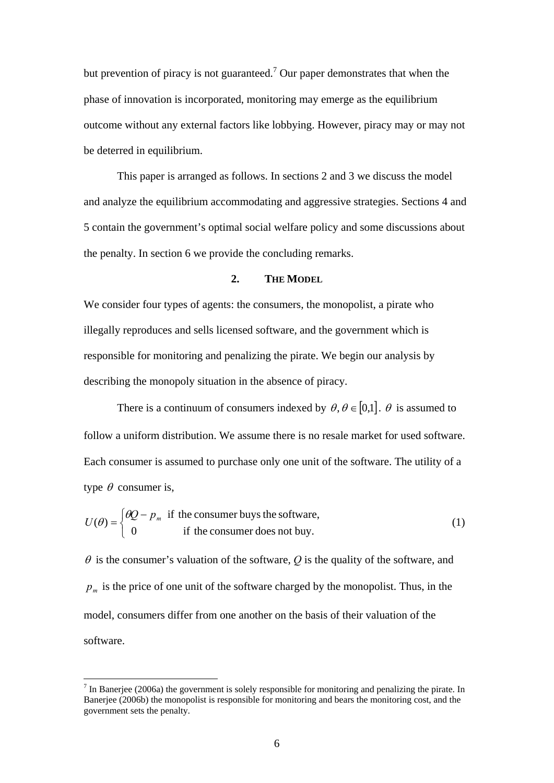but prevention of piracy is not guaranteed.<sup>7</sup> Our paper demonstrates that when the phase of innovation is incorporated, monitoring may emerge as the equilibrium outcome without any external factors like lobbying. However, piracy may or may not be deterred in equilibrium.

This paper is arranged as follows. In sections 2 and 3 we discuss the model and analyze the equilibrium accommodating and aggressive strategies. Sections 4 and 5 contain the government's optimal social welfare policy and some discussions about the penalty. In section 6 we provide the concluding remarks.

## **2. THE MODEL**

We consider four types of agents: the consumers, the monopolist, a pirate who illegally reproduces and sells licensed software, and the government which is responsible for monitoring and penalizing the pirate. We begin our analysis by describing the monopoly situation in the absence of piracy.

There is a continuum of consumers indexed by  $\theta$ ,  $\theta \in [0,1]$ .  $\theta$  is assumed to follow a uniform distribution. We assume there is no resale market for used software. Each consumer is assumed to purchase only one unit of the software. The utility of a type  $\theta$  consumer is,

$$
U(\theta) = \begin{cases} \theta Q - p_m & \text{if the consumer buys the software,} \\ 0 & \text{if the consumer does not buy.} \end{cases}
$$
 (1)

 $\theta$  is the consumer's valuation of the software,  $\theta$  is the quality of the software, and  $p_m$  is the price of one unit of the software charged by the monopolist. Thus, in the model, consumers differ from one another on the basis of their valuation of the software.

 $<sup>7</sup>$  In Banerjee (2006a) the government is solely responsible for monitoring and penalizing the pirate. In</sup> Banerjee (2006b) the monopolist is responsible for monitoring and bears the monitoring cost, and the government sets the penalty.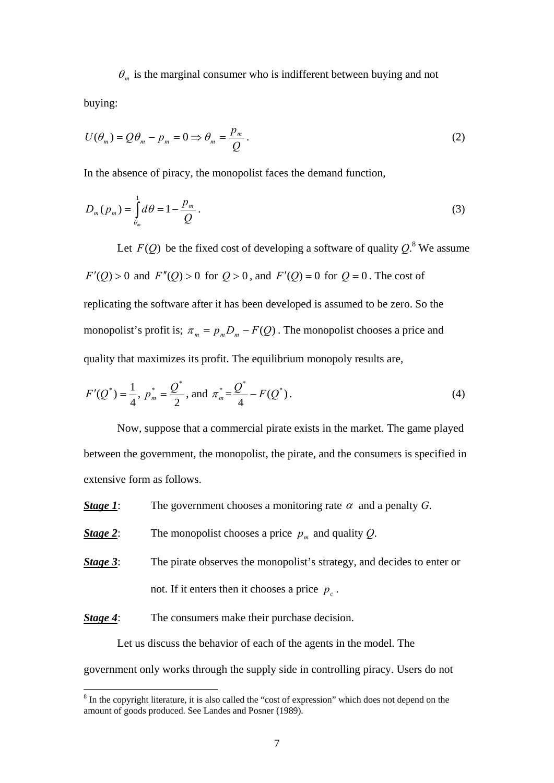$\theta_m$  is the marginal consumer who is indifferent between buying and not buying:

$$
U(\theta_m) = Q\theta_m - p_m = 0 \Longrightarrow \theta_m = \frac{p_m}{Q}.
$$
\n(2)

In the absence of piracy, the monopolist faces the demand function,

$$
D_m(p_m) = \int_{\theta_m}^1 d\theta = 1 - \frac{p_m}{Q} \,. \tag{3}
$$

Let  $F(Q)$  be the fixed cost of developing a software of quality  $Q$ .<sup>8</sup> We assume  $F'(Q) > 0$  and  $F''(Q) > 0$  for  $Q > 0$ , and  $F'(Q) = 0$  for  $Q = 0$ . The cost of replicating the software after it has been developed is assumed to be zero. So the monopolist's profit is;  $\pi_m = p_m D_m - F(Q)$ . The monopolist chooses a price and quality that maximizes its profit. The equilibrium monopoly results are,

$$
F'(Q^*) = \frac{1}{4}, \ p_m^* = \frac{Q^*}{2}, \text{ and } \pi_m^* = \frac{Q^*}{4} - F(Q^*).
$$
 (4)

 Now, suppose that a commercial pirate exists in the market. The game played between the government, the monopolist, the pirate, and the consumers is specified in extensive form as follows.

*Stage 1*: The government chooses a monitoring rate  $\alpha$  and a penalty *G*.

*Stage 2*: The monopolist chooses a price  $p_m$  and quality *Q*.

**Stage 3:** The pirate observes the monopolist's strategy, and decides to enter or not. If it enters then it chooses a price  $p_c$ .

*Stage 4*: The consumers make their purchase decision.

<u>.</u>

 Let us discuss the behavior of each of the agents in the model. The government only works through the supply side in controlling piracy. Users do not

 $8 \text{ In the copyright literature, it is also called the "cost of expression" which does not depend on the$ amount of goods produced. See Landes and Posner (1989).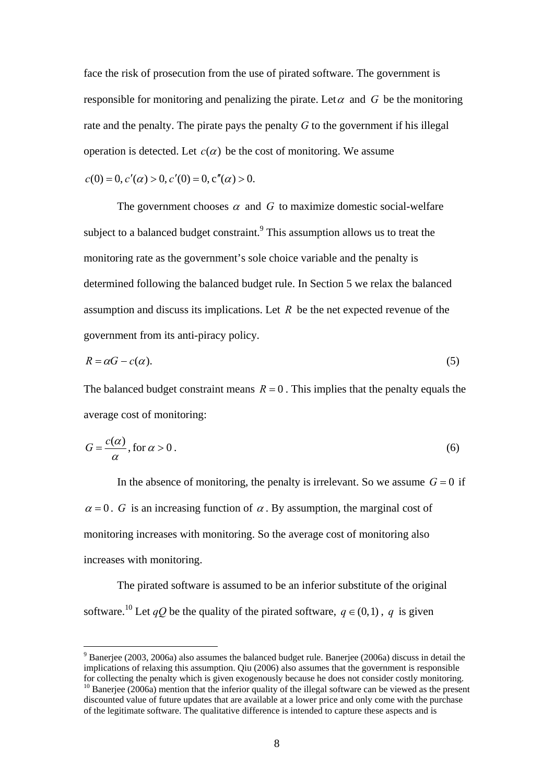face the risk of prosecution from the use of pirated software. The government is responsible for monitoring and penalizing the pirate. Let  $\alpha$  and  $G$  be the monitoring rate and the penalty. The pirate pays the penalty *G* to the government if his illegal operation is detected. Let  $c(\alpha)$  be the cost of monitoring. We assume

$$
c(0) = 0, c'(\alpha) > 0, c'(0) = 0, c''(\alpha) > 0.
$$

1

The government chooses  $\alpha$  and  $G$  to maximize domestic social-welfare subject to a balanced budget constraint.<sup>9</sup> This assumption allows us to treat the monitoring rate as the government's sole choice variable and the penalty is determined following the balanced budget rule. In Section 5 we relax the balanced assumption and discuss its implications. Let *R* be the net expected revenue of the government from its anti-piracy policy.

$$
R = \alpha G - c(\alpha). \tag{5}
$$

The balanced budget constraint means  $R = 0$ . This implies that the penalty equals the average cost of monitoring:

$$
G = \frac{c(\alpha)}{\alpha}, \text{ for } \alpha > 0.
$$
 (6)

In the absence of monitoring, the penalty is irrelevant. So we assume  $G = 0$  if  $\alpha = 0$ . *G* is an increasing function of  $\alpha$ . By assumption, the marginal cost of monitoring increases with monitoring. So the average cost of monitoring also increases with monitoring.

The pirated software is assumed to be an inferior substitute of the original software.<sup>10</sup> Let *qQ* be the quality of the pirated software,  $q \in (0,1)$ , q is given

 $9^9$  Banerjee (2003, 2006a) also assumes the balanced budget rule. Banerjee (2006a) discuss in detail the implications of relaxing this assumption. Qiu (2006) also assumes that the government is responsible for collecting the penalty which is given exogenously because he does not consider costly monitoring.  $10$  Baneriee (2006a) mention that the inferior quality of the illegal software can be viewed as the present

discounted value of future updates that are available at a lower price and only come with the purchase of the legitimate software. The qualitative difference is intended to capture these aspects and is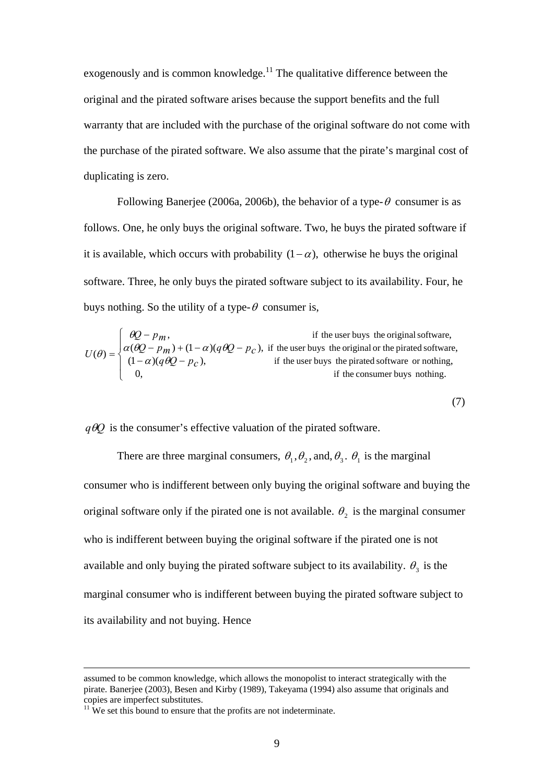exogenously and is common knowledge.<sup>11</sup> The qualitative difference between the original and the pirated software arises because the support benefits and the full warranty that are included with the purchase of the original software do not come with the purchase of the pirated software. We also assume that the pirate's marginal cost of duplicating is zero.

Following Banerjee (2006a, 2006b), the behavior of a type- $\theta$  consumer is as follows. One, he only buys the original software. Two, he buys the pirated software if it is available, which occurs with probability  $(1-\alpha)$ , otherwise he buys the original software. Three, he only buys the pirated software subject to its availability. Four, he buys nothing. So the utility of a type- $\theta$  consumer is,

$$
U(\theta) = \begin{cases} \n\theta Q - p_m, & \text{if the user buys the original software,} \\ \n\alpha(\theta Q - p_m) + (1 - \alpha)(q\theta Q - p_c), & \text{if the user buys the original or the pirated software,} \\ \n(1 - \alpha)(q\theta Q - p_c), & \text{if the user buys the pirated software or nothing,} \\ \n0, & \text{if the consumer buys nothing.} \n\end{cases}
$$

(7)

 $q\theta Q$  is the consumer's effective valuation of the pirated software.

There are three marginal consumers,  $\theta_1$ ,  $\theta_2$ , and,  $\theta_3$ .  $\theta_1$  is the marginal consumer who is indifferent between only buying the original software and buying the original software only if the pirated one is not available.  $\theta_2$  is the marginal consumer who is indifferent between buying the original software if the pirated one is not available and only buying the pirated software subject to its availability.  $\theta_3$  is the marginal consumer who is indifferent between buying the pirated software subject to its availability and not buying. Hence

assumed to be common knowledge, which allows the monopolist to interact strategically with the pirate. Banerjee (2003), Besen and Kirby (1989), Takeyama (1994) also assume that originals and copies are imperfect substitutes.

 $11$  We set this bound to ensure that the profits are not indeterminate.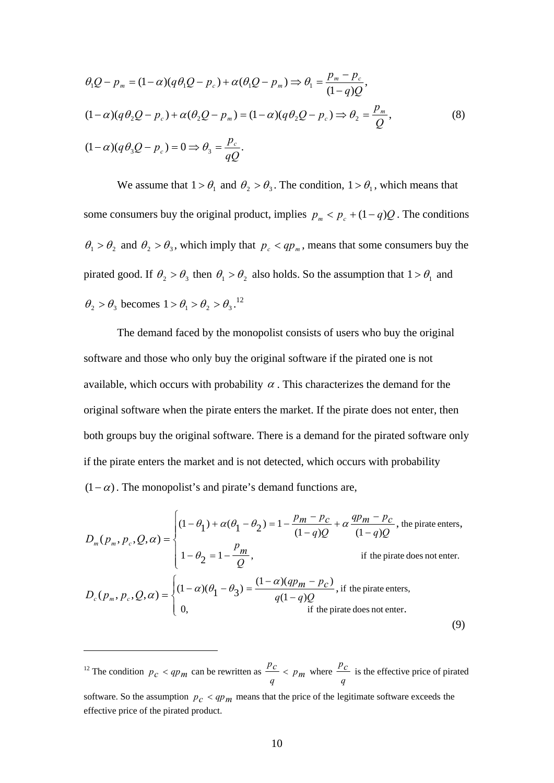$$
\theta_1 Q - p_m = (1 - \alpha)(q \theta_1 Q - p_c) + \alpha(\theta_1 Q - p_m) \Rightarrow \theta_1 = \frac{p_m - p_c}{(1 - q)Q},
$$
  
\n
$$
(1 - \alpha)(q \theta_2 Q - p_c) + \alpha(\theta_2 Q - p_m) = (1 - \alpha)(q \theta_2 Q - p_c) \Rightarrow \theta_2 = \frac{p_m}{Q},
$$
  
\n
$$
(1 - \alpha)(q \theta_3 Q - p_c) = 0 \Rightarrow \theta_3 = \frac{p_c}{qQ}.
$$
\n(8)

We assume that  $1 > \theta_1$  and  $\theta_2 > \theta_3$ . The condition,  $1 > \theta_1$ , which means that some consumers buy the original product, implies  $p_m < p_c + (1 - q)Q$ . The conditions  $\theta_1 > \theta_2$  and  $\theta_2 > \theta_3$ , which imply that  $p_c < qp_m$ , means that some consumers buy the pirated good. If  $\theta_2 > \theta_3$  then  $\theta_1 > \theta_2$  also holds. So the assumption that  $1 > \theta_1$  and  $\theta_2 > \theta_3$  becomes  $1 > \theta_1 > \theta_2 > \theta_3$ .<sup>12</sup>

 The demand faced by the monopolist consists of users who buy the original software and those who only buy the original software if the pirated one is not available, which occurs with probability  $\alpha$ . This characterizes the demand for the original software when the pirate enters the market. If the pirate does not enter, then both groups buy the original software. There is a demand for the pirated software only if the pirate enters the market and is not detected, which occurs with probability  $(1-\alpha)$ . The monopolist's and pirate's demand functions are,

$$
D_m(p_m, p_c, Q, \alpha) = \begin{cases} (1 - \theta_1) + \alpha(\theta_1 - \theta_2) = 1 - \frac{p_m - p_c}{(1 - q)Q} + \alpha \frac{qp_m - p_c}{(1 - q)Q}, \text{ the private enters,} \\ 1 - \theta_2 = 1 - \frac{p_m}{Q}, & \text{if the private does not enter.} \end{cases}
$$
  

$$
D_c(p_m, p_c, Q, \alpha) = \begin{cases} (1 - \alpha)(\theta_1 - \theta_3) = \frac{(1 - \alpha)(qp_m - p_c)}{q(1 - q)Q}, \text{if the private enters,} \\ 0, & \text{if the private does not enter.} \end{cases}
$$
 (9)

<sup>12</sup> The condition  $p_c < qp_m$  can be rewritten as  $\frac{pc}{q} < p_m$  $\frac{p_c}{p_m}$  <  $p_m$  where *q*  $\frac{p_c}{r}$  is the effective price of pirated software. So the assumption  $p_c < qp_m$  means that the price of the legitimate software exceeds the effective price of the pirated product.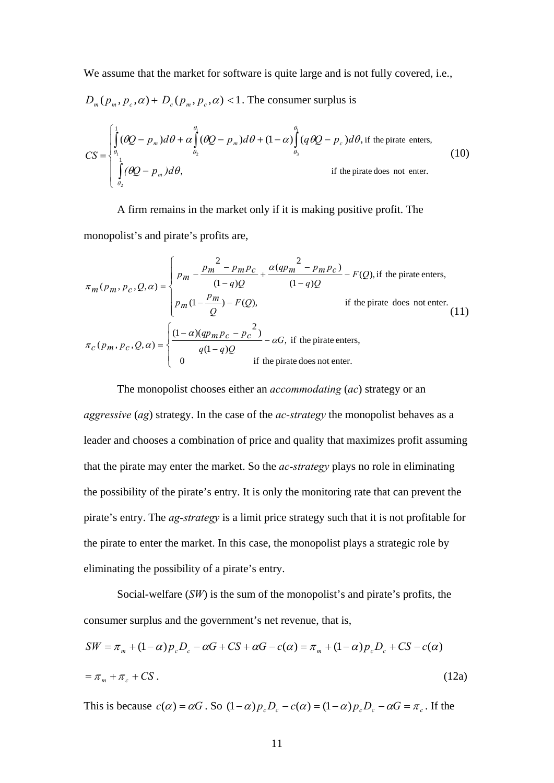We assume that the market for software is quite large and is not fully covered, i.e.,

$$
D_m(p_m, p_c, \alpha) + D_c(p_m, p_c, \alpha) < 1
$$
. The consumer surplus is

$$
CS = \begin{cases} \int_{\theta_1}^{1} (\theta Q - p_m) d\theta + \alpha \int_{\theta_2}^{\theta_1} (\theta Q - p_m) d\theta + (1 - \alpha) \int_{\theta_3}^{\theta_1} (q \theta Q - p_c) d\theta, & \text{if the private enters,} \\ \int_{\theta_2}^{1} (\theta Q - p_m) d\theta, & \text{if the private does not enter.} \end{cases}
$$
(10)

A firm remains in the market only if it is making positive profit. The monopolist's and pirate's profits are,

$$
\pi_m(p_m, p_c, Q, \alpha) = \begin{cases}\np_m - \frac{p_m^2 - p_m p_c}{(1 - q)Q} + \frac{\alpha (q p_m^2 - p_m p_c)}{(1 - q)Q} - F(Q), & \text{if the private enters,} \\
p_m (1 - \frac{p_m}{Q}) - F(Q), & \text{if the private does not enter.} \\
\pi_c(p_m, p_c, Q, \alpha) = \begin{cases}\n\frac{(1 - \alpha)(q p_m p_c - p_c^2)}{q(1 - q)Q} - \alpha G, & \text{if the private enters,} \\
0 & \text{if the private does not enter.} \\
0 & \text{if the private does not enter.}\n\end{cases}
$$

The monopolist chooses either an *accommodating* (*ac*) strategy or an *aggressive* (*ag*) strategy. In the case of the *ac-strategy* the monopolist behaves as a leader and chooses a combination of price and quality that maximizes profit assuming that the pirate may enter the market. So the *ac-strategy* plays no role in eliminating the possibility of the pirate's entry. It is only the monitoring rate that can prevent the pirate's entry. The *ag-strategy* is a limit price strategy such that it is not profitable for the pirate to enter the market. In this case, the monopolist plays a strategic role by eliminating the possibility of a pirate's entry.

Social-welfare (*SW*) is the sum of the monopolist's and pirate's profits, the consumer surplus and the government's net revenue, that is,

$$
SW = \pi_m + (1 - \alpha)p_c D_c - \alpha G + CS + \alpha G - c(\alpha) = \pi_m + (1 - \alpha)p_c D_c + CS - c(\alpha)
$$
  
=  $\pi_m + \pi_c + CS$ . (12a)

This is because  $c(\alpha) = \alpha G$ . So  $(1-\alpha)p_cD_c - c(\alpha) = (1-\alpha)p_cD_c - \alpha G = \pi_c$ . If the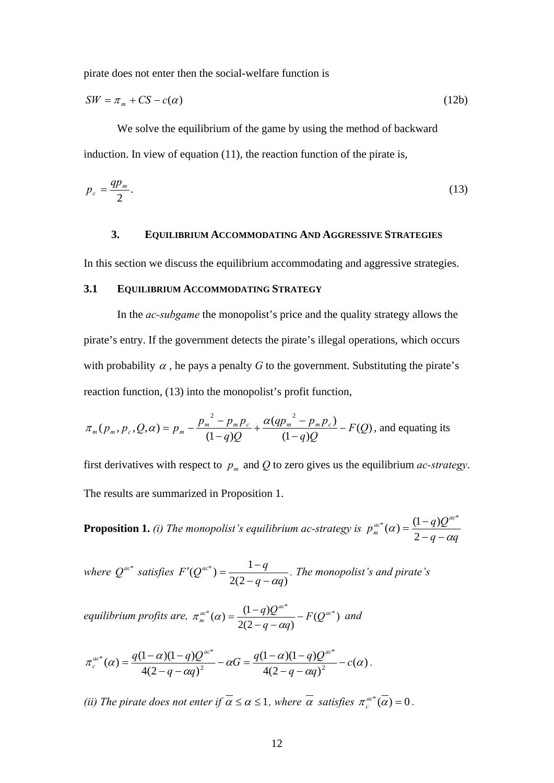pirate does not enter then the social-welfare function is

$$
SW = \pi_m + CS - c(\alpha) \tag{12b}
$$

We solve the equilibrium of the game by using the method of backward induction. In view of equation (11), the reaction function of the pirate is,

$$
p_c = \frac{qp_m}{2}.\tag{13}
$$

## **3. EQUILIBRIUM ACCOMMODATING AND AGGRESSIVE STRATEGIES**

In this section we discuss the equilibrium accommodating and aggressive strategies.

#### **3.1 EQUILIBRIUM ACCOMMODATING STRATEGY**

 In the *ac-subgame* the monopolist's price and the quality strategy allows the pirate's entry. If the government detects the pirate's illegal operations, which occurs with probability  $\alpha$ , he pays a penalty *G* to the government. Substituting the pirate's reaction function, (13) into the monopolist's profit function,

$$
\pi_m(p_m, p_c, Q, \alpha) = p_m - \frac{p_m^2 - p_m p_c}{(1 - q)Q} + \frac{\alpha (qp_m^2 - p_m p_c)}{(1 - q)Q} - F(Q)
$$
, and equating its

first derivatives with respect to  $p_m$  and Q to zero gives us the equilibrium *ac-strategy*. The results are summarized in Proposition 1.

**Proposition 1.** *(i) The monopolist's equilibrium ac-strategy is*   $q - \alpha q$  $p_m^{ac*}(\alpha) = \frac{(1-q)Q^{ac}}{2}$  $C_{m}^{ac^{*}}(\alpha) = \frac{(1-q)Q^{ac^{*}}}{2-q-\alpha q}$ 

*where*  $Q^{ac^*}$  *satisfies*  $F'(Q^{ac^*}) = \frac{1-q}{2(2-q-aq)}$  $q - \alpha q$  $F'(Q^{ac^*}) = \frac{1-q}{\sqrt{2}}$  $-q - \alpha$  $C(Q^{ac^*}) = \frac{1-q}{\sqrt{1-q}}$ . The monopolist's and pirate's

*equilibrium profits are,*  $\pi_m^{ac*}(\alpha) = \frac{(1-q)Q^{ac*}}{2(2-q-\alpha q)} - F(Q^{ac*})$  and

$$
\pi_c^{ac^*}(\alpha) = \frac{q(1-\alpha)(1-q)Q^{ac^*}}{4(2-q-\alpha q)^2} - \alpha G = \frac{q(1-\alpha)(1-q)Q^{ac^*}}{4(2-q-\alpha q)^2} - c(\alpha).
$$

*(ii) The pirate does not enter if*  $\alpha \leq \alpha \leq 1$ , where  $\alpha$  satisfies  $\pi_c^{ac*}(\alpha) = 0$ .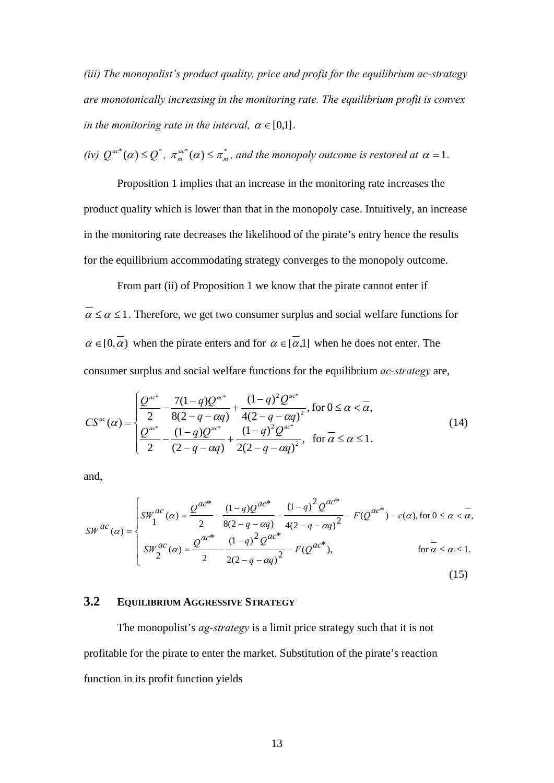*(iii) The monopolist's product quality, price and profit for the equilibrium ac-strategy are monotonically increasing in the monitoring rate. The equilibrium profit is convex in the monitoring rate in the interval,*  $\alpha \in [0,1]$ .

*(iv)* 
$$
Q^{ac^*}(\alpha) \leq Q^*
$$
,  $\pi_m^{ac^*}(\alpha) \leq \pi_m^*$ , and the monopoly outcome is restored at  $\alpha = 1$ .

 Proposition 1 implies that an increase in the monitoring rate increases the product quality which is lower than that in the monopoly case. Intuitively, an increase in the monitoring rate decreases the likelihood of the pirate's entry hence the results for the equilibrium accommodating strategy converges to the monopoly outcome.

 From part (ii) of Proposition 1 we know that the pirate cannot enter if  $\alpha \le \alpha \le 1$ . Therefore, we get two consumer surplus and social welfare functions for  $\alpha \in [0,\alpha)$  when the pirate enters and for  $\alpha \in [\alpha,1]$  when he does not enter. The consumer surplus and social welfare functions for the equilibrium *ac-strategy* are,

$$
CS^{ac}(\alpha) = \begin{cases} \frac{Q^{ac^*}}{2} - \frac{7(1-q)Q^{ac^*}}{8(2-q-\alpha q)} + \frac{(1-q)^2 Q^{ac^*}}{4(2-q-\alpha q)^2}, \text{ for } 0 \le \alpha < \overline{\alpha},\\ \frac{Q^{ac^*}}{2} - \frac{(1-q)Q^{ac^*}}{(2-q-\alpha q)} + \frac{(1-q)^2 Q^{ac^*}}{2(2-q-\alpha q)^2}, \text{ for } \overline{\alpha} \le \alpha \le 1. \end{cases} \tag{14}
$$

and,

$$
SW^{ac}(\alpha) = \begin{cases} SW_{1}^{ac}(\alpha) = \frac{Q^{ac}}{2} - \frac{(1-q)Q^{ac}}{8(2-q-\alpha q)} - \frac{(1-q)^{2}Q^{ac}}{4(2-q-\alpha q)^{2}} - F(Q^{ac^{*}}) - c(\alpha), \text{ for } 0 \le \alpha < \overline{\alpha}, \\ SW_{2}^{ac}(\alpha) = \frac{Q^{ac^{*}}}{2} - \frac{(1-q)^{2}Q^{ac^{*}}}{2(2-q-\alpha q)^{2}} - F(Q^{ac^{*}}), & \text{ for } \overline{\alpha} \le \alpha \le 1. \end{cases} \tag{15}
$$

# **3.2 EQUILIBRIUM AGGRESSIVE STRATEGY**

The monopolist's *ag-strategy* is a limit price strategy such that it is not profitable for the pirate to enter the market. Substitution of the pirate's reaction function in its profit function yields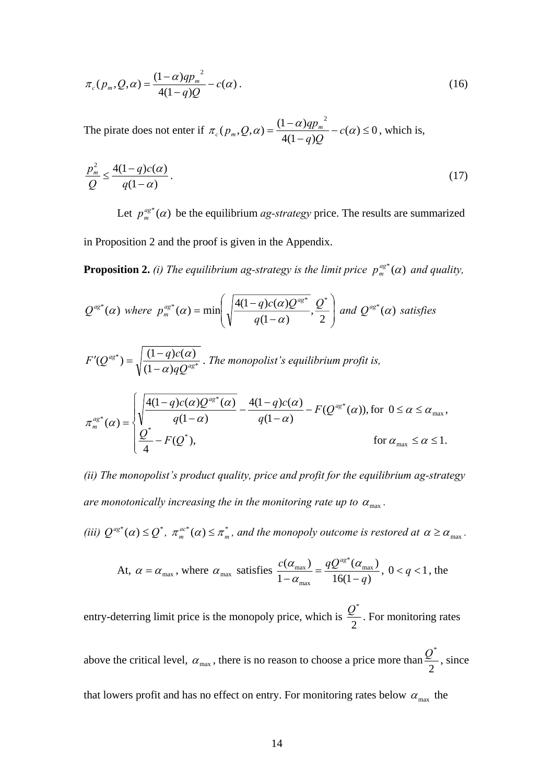$$
\pi_c(p_m, Q, \alpha) = \frac{(1 - \alpha)qp_m^2}{4(1 - q)Q} - c(\alpha).
$$
\n(16)

The pirate does not enter if  $\pi_c(p_m, Q, \alpha) = \frac{(1 - \alpha)q_{m_m}}{(1 - \alpha)q_{m_m}} - c(\alpha) \leq 0$  $4(1 - q)$  $(p_m, Q, \alpha) = \frac{(1-\alpha)qp_m^2}{(1-\alpha)q^2}$  $\pi_c(p_m, Q, \alpha) = \frac{(1-\alpha)qp_m^2}{4(1-q)Q} - c(\alpha)$ *q Q*  $g_c(p_m, Q, \alpha) = \frac{(1-\alpha)qp_m^2}{4(1-\alpha)Q} - c(\alpha) \le 0$ , which is,

$$
\frac{p_m^2}{Q} \le \frac{4(1-q)c(\alpha)}{q(1-\alpha)}.
$$
\n(17)

Let  $p_m^{qs^*}(\alpha)$  be the equilibrium *ag-strategy* price. The results are summarized in Proposition 2 and the proof is given in the Appendix.

**Proposition 2.** *(i) The equilibrium ag-strategy is the limit price*  $p_m^{as*}(\alpha)$  *and quality,* 

$$
Q^{ag^*}(\alpha) \text{ where } p_m^{ag^*}(\alpha) = \min\left(\sqrt{\frac{4(1-q)c(\alpha)Q^{ag^*}}{q(1-\alpha)}}, \frac{Q^*}{2}\right) \text{ and } Q^{ag^*}(\alpha) \text{ satisfies}
$$
\n
$$
F'(Q^{ag^*}) = \sqrt{\frac{(1-q)c(\alpha)}{(1-\alpha)qQ^{ag^*}}} \text{ . The monopolist's equilibrium profit is,}
$$
\n
$$
\pi_m^{ag^*}(\alpha) = \begin{cases} \sqrt{\frac{4(1-q)c(\alpha)Q^{ag^*}(\alpha)}{q(1-\alpha)}} - \frac{4(1-q)c(\alpha)}{q(1-\alpha)} - F(Q^{ag^*}(\alpha)), \text{ for } 0 \le \alpha \le \alpha_{\text{max}}, \\ \frac{Q^*}{4} - F(Q^*), \text{ for } \alpha_{\text{max}} \le \alpha \le 1. \end{cases}
$$

*(ii) The monopolist's product quality, price and profit for the equilibrium ag-strategy are monotonically increasing the in the monitoring rate up to*  $\alpha_{\text{max}}$ *.* 

*(iii)*  $Q^{ag^*}(\alpha) \leq Q^*$ ,  $\pi_m^{ac^*}(\alpha) \leq \pi_m^*$ , and the monopoly outcome is restored at  $\alpha \geq \alpha_{\max}$ .

At, 
$$
\alpha = \alpha_{\text{max}}
$$
, where  $\alpha_{\text{max}}$  satisfies  $\frac{c(\alpha_{\text{max}})}{1 - \alpha_{\text{max}}} = \frac{qQ^{\text{ag*}}(\alpha_{\text{max}})}{16(1 - q)}$ ,  $0 < q < 1$ , the

entry-deterring limit price is the monopoly price, which is  $\frac{2}{2}$  $\frac{Q^*}{Z}$ . For monitoring rates

above the critical level,  $\alpha_{\text{max}}$ , there is no reason to choose a price more than  $\frac{2}{2}$  $\frac{Q^*}{Q}$ , since that lowers profit and has no effect on entry. For monitoring rates below  $\alpha_{\text{max}}$  the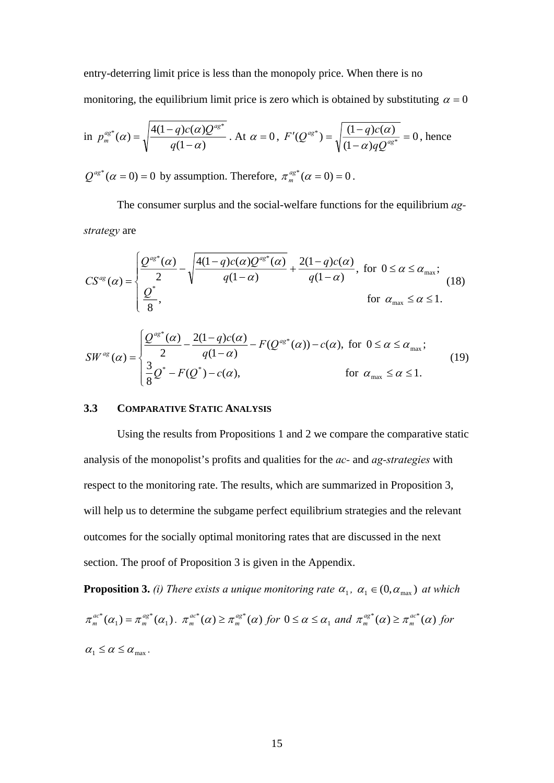entry-deterring limit price is less than the monopoly price. When there is no monitoring, the equilibrium limit price is zero which is obtained by substituting  $\alpha = 0$ 

in 
$$
p_m^{ag*}(\alpha) = \sqrt{\frac{4(1-q)c(\alpha)Q^{ag*}}{q(1-\alpha)}}
$$
. At  $\alpha = 0$ ,  $F'(Q^{ag*}) = \sqrt{\frac{(1-q)c(\alpha)}{(1-\alpha)qQ^{ag*}}} = 0$ , hence

 $Q^{ag^*}(\alpha = 0) = 0$  by assumption. Therefore,  $\pi_m^{ag^*}(\alpha = 0) = 0$ .

 The consumer surplus and the social-welfare functions for the equilibrium *agstrategy* are

$$
CS^{ag}(\alpha) = \begin{cases} \frac{Q^{ag^*}(\alpha)}{2} - \sqrt{\frac{4(1-q)c(\alpha)Q^{ag^*}(\alpha)}{q(1-\alpha)}} + \frac{2(1-q)c(\alpha)}{q(1-\alpha)}, & \text{for } 0 \le \alpha \le \alpha_{\text{max}}; \\ \frac{Q^*}{8}, & \text{for } \alpha_{\text{max}} \le \alpha \le 1. \end{cases}
$$
 (18)

$$
SW^{ag}(\alpha) = \begin{cases} \frac{Q^{ag^*}(\alpha)}{2} - \frac{2(1-q)c(\alpha)}{q(1-\alpha)} - F(Q^{ag^*}(\alpha)) - c(\alpha), & \text{for } 0 \le \alpha \le \alpha_{\text{max}}; \\ \frac{3}{8}Q^* - F(Q^*) - c(\alpha), & \text{for } \alpha_{\text{max}} \le \alpha \le 1. \end{cases}
$$
(19)

### **3.3 COMPARATIVE STATIC ANALYSIS**

Using the results from Propositions 1 and 2 we compare the comparative static analysis of the monopolist's profits and qualities for the *ac-* and *ag-strategies* with respect to the monitoring rate. The results, which are summarized in Proposition 3, will help us to determine the subgame perfect equilibrium strategies and the relevant outcomes for the socially optimal monitoring rates that are discussed in the next section. The proof of Proposition 3 is given in the Appendix.

**Proposition 3.** *(i) There exists a unique monitoring rate*  $\alpha_1$ ,  $\alpha_1 \in (0, \alpha_{\text{max}})$  *at which*  $(\alpha_1) = \pi_m^{ag*}(\alpha_1)$  $\pi_m^{ac*}(\alpha_1) = \pi_m^{ag*}(\alpha_2)$  $\sigma_m^{ac*}(\alpha_1) = \pi_m^{ag*}(\alpha_1)$ .  $\pi_m^{ac*}(\alpha) \geq \pi_m^{ag*}(\alpha)$  $C_m^{ac^*}(\alpha) \geq \pi_m^{ag^*}(\alpha)$  for  $0 \leq \alpha \leq \alpha_1$  and  $\pi_m^{ag^*}(\alpha) \geq \pi_m^{ac^*}(\alpha)$  $m_{m}^{ag*}(\alpha) \geq \pi_{m}^{ac*}(\alpha)$  for  $\alpha_1 \leq \alpha \leq \alpha_{\text{max}}$ .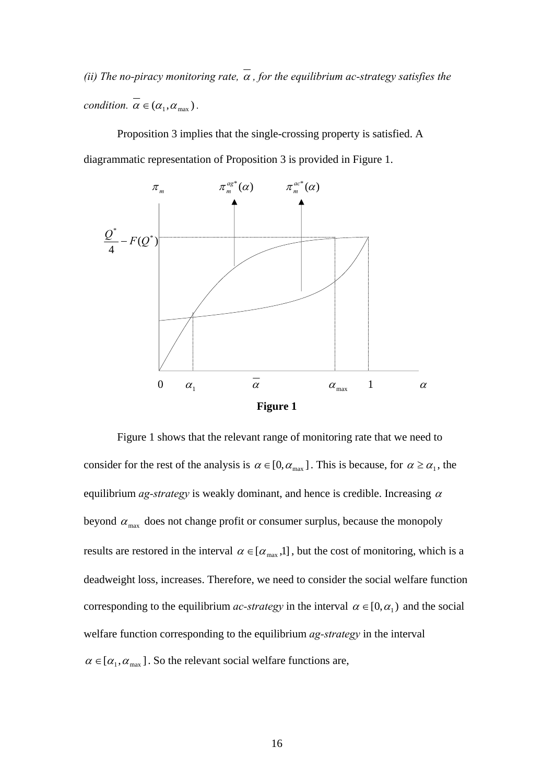*(ii) The no-piracy monitoring rate,*  $\alpha$ , *for the equilibrium ac-strategy satisfies the condition.*  $\overline{\alpha} \in (\alpha_1, \alpha_{\text{max}})$ .

 Proposition 3 implies that the single-crossing property is satisfied. A diagrammatic representation of Proposition 3 is provided in Figure 1.



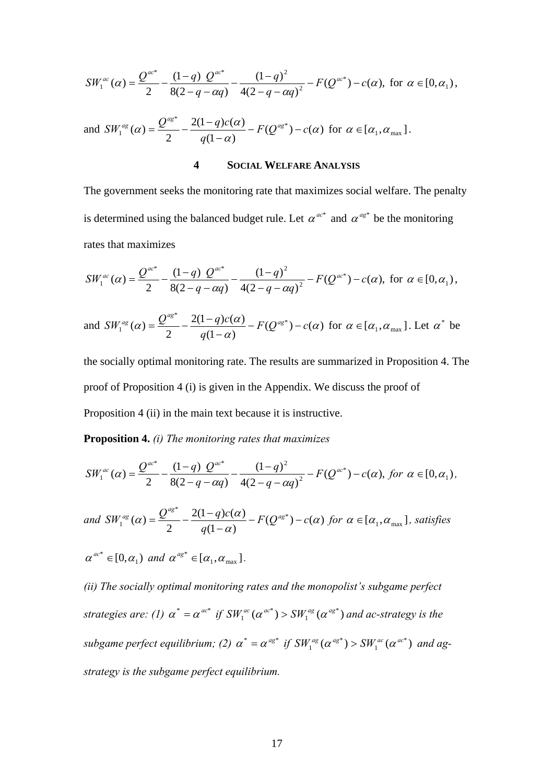$$
SW_1^{ac}(\alpha) = \frac{Q^{ac^*}}{2} - \frac{(1-q)Q^{ac^*}}{8(2-q-\alpha q)} - \frac{(1-q)^2}{4(2-q-\alpha q)^2} - F(Q^{ac^*}) - c(\alpha), \text{ for } \alpha \in [0, \alpha_1),
$$

and 
$$
SW_1^{ag}(\alpha) = \frac{Q^{ag^*}}{2} - \frac{2(1-q)c(\alpha)}{q(1-\alpha)} - F(Q^{ag^*}) - c(\alpha)
$$
 for  $\alpha \in [\alpha_1, \alpha_{max}].$ 

#### **4 SOCIAL WELFARE ANALYSIS**

The government seeks the monitoring rate that maximizes social welfare. The penalty is determined using the balanced budget rule. Let  $\alpha^{ac^*}$  and  $\alpha^{ag^*}$  be the monitoring rates that maximizes

$$
SW_1^{ac}(\alpha) = \frac{Q^{ac^*}}{2} - \frac{(1-q)Q^{ac^*}}{8(2-q-\alpha q)} - \frac{(1-q)^2}{4(2-q-\alpha q)^2} - F(Q^{ac^*}) - c(\alpha), \text{ for } \alpha \in [0, \alpha_1),
$$

and  $SW_1^{ag}(\alpha) = \frac{Q^{ag}}{2} - \frac{2(1-q)c(\alpha)}{q(1-\alpha)} - F(Q^{ag}) - c(\alpha)$  $\overline{a}^{\circ}(\alpha) = \frac{1}{2} - \frac{1}{a(1-\alpha)} - F(Q^{\circ}) - c(\alpha)$  $\alpha$ ) =  $\frac{Q^{r,s}}{Q} - \frac{2(1-q)c(\alpha)}{q} - F(Q^{qs^*}) - c$ *q*  $SW_1^{ag}(\alpha) = \frac{Q^{ag^*}}{2} - \frac{2(1-q)c(\alpha)}{q(1-\alpha)} - F(Q^{ag^*}) - c(\alpha)$  for  $\alpha \in [\alpha_1, \alpha_{\text{max}}]$ . Let  $\alpha^*$  be

the socially optimal monitoring rate. The results are summarized in Proposition 4. The proof of Proposition 4 (i) is given in the Appendix. We discuss the proof of Proposition 4 (ii) in the main text because it is instructive.

**Proposition 4.** *(i) The monitoring rates that maximizes* 

$$
SW_1^{ac}(\alpha) = \frac{Q^{ac^*}}{2} - \frac{(1-q)Q^{ac^*}}{8(2-q-\alpha q)} - \frac{(1-q)^2}{4(2-q-\alpha q)^2} - F(Q^{ac^*}) - c(\alpha), \text{ for } \alpha \in [0, \alpha_1),
$$

and 
$$
SW_1^{ag}(\alpha) = \frac{Q^{ag^*}}{2} - \frac{2(1-q)c(\alpha)}{q(1-\alpha)} - F(Q^{ag^*}) - c(\alpha)
$$
 for  $\alpha \in [\alpha_1, \alpha_{max}]$ , satisfies  
\n $\alpha^{ac^*} \in [0, \alpha_1)$  and  $\alpha^{ag^*} \in [\alpha_1, \alpha_{max}]$ .

*(ii) The socially optimal monitoring rates and the monopolist's subgame perfect strategies are: (1)*  $\alpha^* = \alpha^{ac^*}$  *if*  $SW_1^{ac}(\alpha^{ac^*}) > SW_1^{ag}(\alpha^{ag^*})$ 1 \*  $SW_1^{ac}(\alpha^{ac^*})$  >  $SW_1^{ag}(\alpha^{ag^*})$  and ac-strategy is the *subgame perfect equilibrium; (2)*  $\alpha^* = \alpha^{a g^*}$  *if*  $SW_1^{a g} (\alpha^{a g^*}) > SW_1^{a c} (\alpha^{a c^*})$ 1 \*  $SW_1^{ag}(\alpha^{ag^*}) > SW_1^{ac}(\alpha^{ac^*})$  and ag*strategy is the subgame perfect equilibrium.*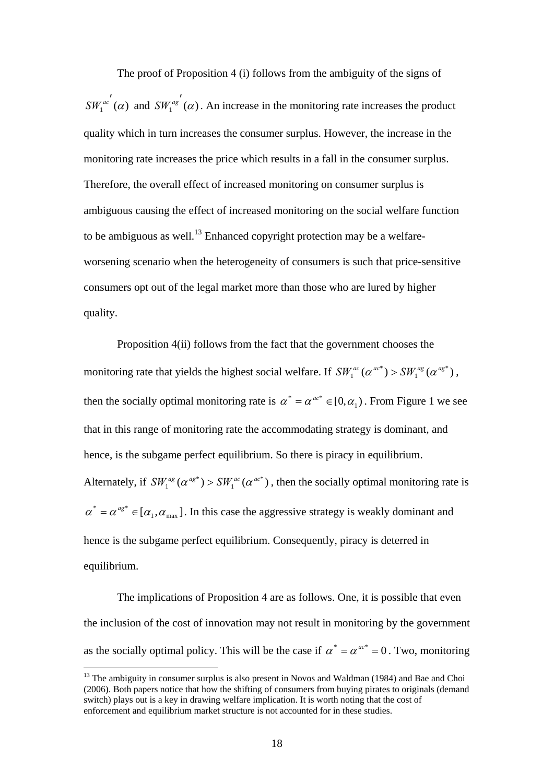The proof of Proposition 4 (i) follows from the ambiguity of the signs of  $SW_1^{ac'}(\alpha)$  and  $SW_1^{ag'}(\alpha)$ . An increase in the monitoring rate increases the product quality which in turn increases the consumer surplus. However, the increase in the monitoring rate increases the price which results in a fall in the consumer surplus. Therefore, the overall effect of increased monitoring on consumer surplus is ambiguous causing the effect of increased monitoring on the social welfare function to be ambiguous as well.<sup>13</sup> Enhanced copyright protection may be a welfareworsening scenario when the heterogeneity of consumers is such that price-sensitive consumers opt out of the legal market more than those who are lured by higher quality.

 Proposition 4(ii) follows from the fact that the government chooses the monitoring rate that yields the highest social welfare. If  $SW_1^{ac} (\alpha^{ac*}) > SW_1^{ag} (\alpha^{ag*})$ \*  $SW_1^{ac}(\alpha^{ac^*}) > SW_1^{ag}(\alpha^{ag^*}),$ then the socially optimal monitoring rate is  $\alpha^* = \alpha^{a c^*} \in [0, \alpha_1)$ . From Figure 1 we see that in this range of monitoring rate the accommodating strategy is dominant, and hence, is the subgame perfect equilibrium. So there is piracy in equilibrium. Alternately, if  $SW_1^{ag}(\alpha^{ag^*}) > SW_1^{ac}(\alpha^{ac^*})$ \*  $SW_1^{ag}(\alpha^{ag*})$  >  $SW_1^{ac}(\alpha^{ac*})$ , then the socially optimal monitoring rate is  $\alpha^* = \alpha^{a}e^{i\theta} \in [\alpha_1, \alpha_{max}]$ . In this case the aggressive strategy is weakly dominant and hence is the subgame perfect equilibrium. Consequently, piracy is deterred in equilibrium.

 The implications of Proposition 4 are as follows. One, it is possible that even the inclusion of the cost of innovation may not result in monitoring by the government as the socially optimal policy. This will be the case if  $\alpha^* = \alpha^{ac^*} = 0$ . Two, monitoring

<sup>&</sup>lt;sup>13</sup> The ambiguity in consumer surplus is also present in Novos and Waldman (1984) and Bae and Choi (2006). Both papers notice that how the shifting of consumers from buying pirates to originals (demand switch) plays out is a key in drawing welfare implication. It is worth noting that the cost of enforcement and equilibrium market structure is not accounted for in these studies.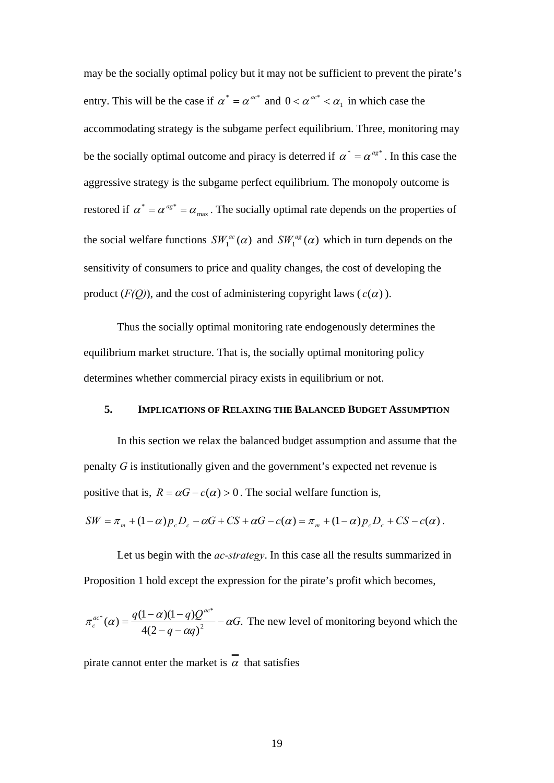may be the socially optimal policy but it may not be sufficient to prevent the pirate's entry. This will be the case if  $\alpha^* = \alpha^{a c^*}$  and  $0 < \alpha^{a c^*} < \alpha_1$  in which case the accommodating strategy is the subgame perfect equilibrium. Three, monitoring may be the socially optimal outcome and piracy is deterred if  $\alpha^* = \alpha^{a g^*}$ . In this case the aggressive strategy is the subgame perfect equilibrium. The monopoly outcome is restored if  $\alpha^* = \alpha^{a g^*} = \alpha_{\text{max}}$ . The socially optimal rate depends on the properties of the social welfare functions  $SW_1^{ac}(\alpha)$  and  $SW_1^{ag}(\alpha)$  which in turn depends on the sensitivity of consumers to price and quality changes, the cost of developing the product  $(F(Q))$ , and the cost of administering copyright laws  $(c(\alpha))$ .

 Thus the socially optimal monitoring rate endogenously determines the equilibrium market structure. That is, the socially optimal monitoring policy determines whether commercial piracy exists in equilibrium or not.

#### **5. IMPLICATIONS OF RELAXING THE BALANCED BUDGET ASSUMPTION**

 In this section we relax the balanced budget assumption and assume that the penalty *G* is institutionally given and the government's expected net revenue is positive that is,  $R = \alpha G - c(\alpha) > 0$ . The social welfare function is,

$$
SW = \pi_m + (1 - \alpha)p_c D_c - \alpha G + CS + \alpha G - c(\alpha) = \pi_m + (1 - \alpha)p_c D_c + CS - c(\alpha).
$$

 Let us begin with the *ac-strategy*. In this case all the results summarized in Proposition 1 hold except the expression for the pirate's profit which becomes,

$$
\pi_c^{ac*}(\alpha) = \frac{q(1-\alpha)(1-q)Q^{ac*}}{4(2-q-\alpha q)^2} - \alpha G.
$$
 The new level of monitoring beyond which the

pirate cannot enter the market is  $\alpha$  that satisfies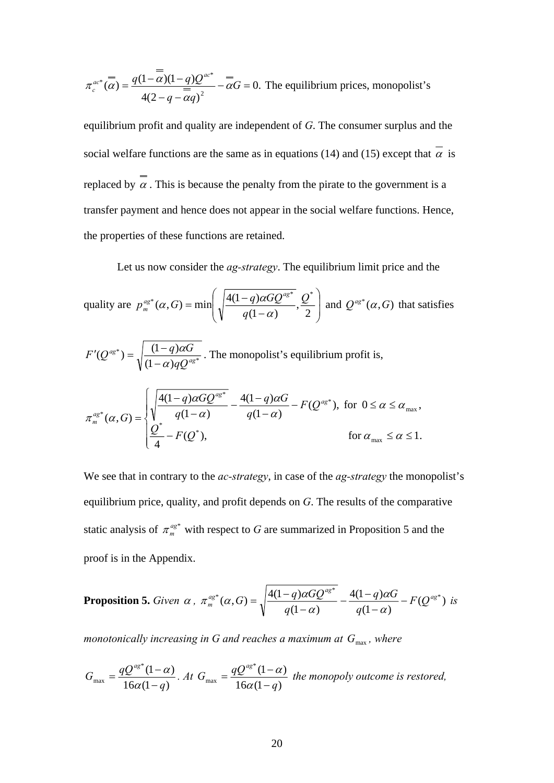$$
\pi_c^{ac*}(\overline{\alpha}) = \frac{q(1-\overline{\alpha})(1-q)Q^{ac*}}{4(2-q-\overline{\alpha}q)^2} - \overline{\alpha}G = 0.
$$
 The equilibrium prices, monopolist's

equilibrium profit and quality are independent of *G*. The consumer surplus and the social welfare functions are the same as in equations (14) and (15) except that  $\alpha$  is replaced by  $\overline{\alpha}$ . This is because the penalty from the pirate to the government is a transfer payment and hence does not appear in the social welfare functions. Hence, the properties of these functions are retained.

Let us now consider the *ag-strategy*. The equilibrium limit price and the

quality are 
$$
p_m^{ag*}(\alpha, G) = \min\left(\sqrt{\frac{4(1-q)\alpha G Q^{ag*}}{q(1-\alpha)}}, \frac{Q^*}{2}\right)
$$
 and  $Q^{ag*}(\alpha, G)$  that satisfies  
\n
$$
F'(Q^{ag*}) = \sqrt{\frac{(1-q)\alpha G}{(1-\alpha)qQ^{ag*}}}.
$$
 The monopolist's equilibrium profit is,  
\n
$$
\pi_m^{ag*}(\alpha, G) = \begin{cases} \sqrt{\frac{4(1-q)\alpha G Q^{ag*}}{q(1-\alpha)}} - \frac{4(1-q)\alpha G}{q(1-\alpha)} - F(Q^{ag*}), \text{ for } 0 \le \alpha \le \alpha_{\text{max}}, \\ \frac{Q^*}{4} - F(Q^*), \text{ for } \alpha_{\text{max}} \le \alpha \le 1. \end{cases}
$$

We see that in contrary to the *ac-strategy*, in case of the *ag-strategy* the monopolist's equilibrium price, quality, and profit depends on *G*. The results of the comparative static analysis of  $\pi_m^{qs^*}$  with respect to *G* are summarized in Proposition 5 and the proof is in the Appendix.

**Proposition 5.** Given 
$$
\alpha
$$
,  $\pi_m^{ag*}(\alpha, G) = \sqrt{\frac{4(1-q)\alpha G Q^{ag*}}{q(1-\alpha)}} - \frac{4(1-q)\alpha G}{q(1-\alpha)} - F(Q^{ag*})$  is

*monotonically increasing in G and reaches a maximum at*  $G_{\text{max}}$ *, where* 

$$
G_{\max} = \frac{qQ^{ag^*}(1-\alpha)}{16\alpha(1-q)}
$$
. At  $G_{\max} = \frac{qQ^{ag^*}(1-\alpha)}{16\alpha(1-q)}$  the monopoly outcome is restored,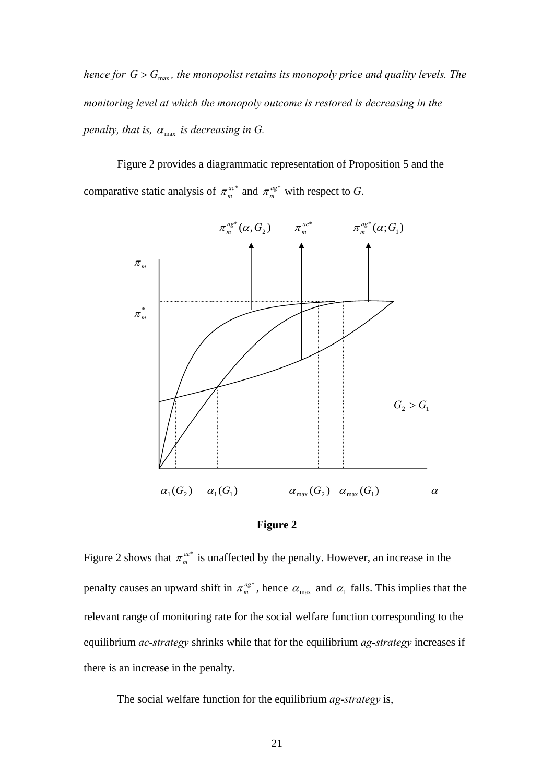*hence for*  $G > G_{\text{max}}$ *, the monopolist retains its monopoly price and quality levels. The monitoring level at which the monopoly outcome is restored is decreasing in the penalty, that is,*  $\alpha_{\text{max}}$  *is decreasing in G.* 

 Figure 2 provides a diagrammatic representation of Proposition 5 and the comparative static analysis of  $\pi_m^{ac*}$  and  $\pi_m^{ag*}$  with respect to *G*.





Figure 2 shows that  $\pi_m^{ac*}$  is unaffected by the penalty. However, an increase in the penalty causes an upward shift in  $\pi_m^{ag*}$ , hence  $\alpha_{max}$  and  $\alpha_1$  falls. This implies that the relevant range of monitoring rate for the social welfare function corresponding to the equilibrium *ac-strategy* shrinks while that for the equilibrium *ag-strategy* increases if there is an increase in the penalty.

The social welfare function for the equilibrium *ag-strategy* is,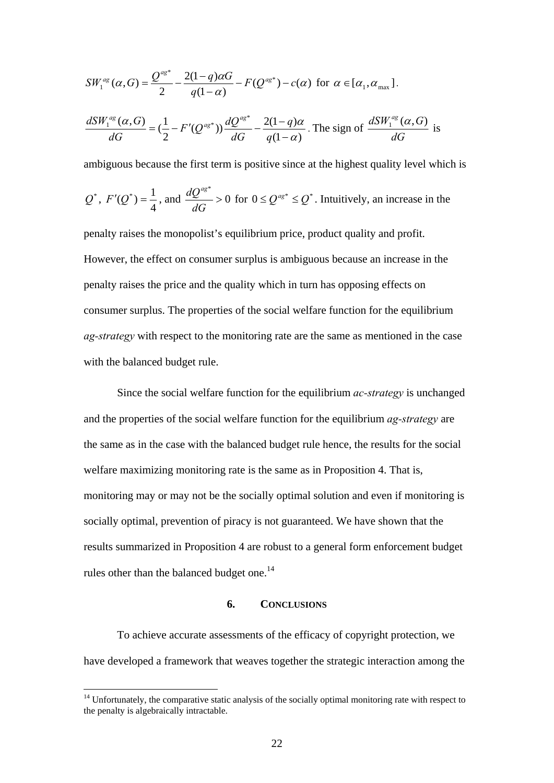$$
SW_1^{ag}(\alpha, G) = \frac{Q^{ag}}{2} - \frac{2(1-q)\alpha G}{q(1-\alpha)} - F(Q^{ag^*}) - c(\alpha) \text{ for } \alpha \in [\alpha_1, \alpha_{\text{max}}].
$$
  

$$
\frac{dSW_1^{ag}(\alpha, G)}{dG} = (\frac{1}{2} - F'(Q^{ag^*})) \frac{dQ^{ag^*}}{dG} - \frac{2(1-q)\alpha}{q(1-\alpha)}. \text{ The sign of } \frac{dSW_1^{ag}(\alpha, G)}{dG} \text{ is}
$$

ambiguous because the first term is positive since at the highest quality level which is

$$
Q^*
$$
,  $F'(Q^*) = \frac{1}{4}$ , and  $\frac{dQ^{ag*}}{dG} > 0$  for  $0 \leq Q^{ag*} \leq Q^*$ . Intuitively, an increase in the

penalty raises the monopolist's equilibrium price, product quality and profit. However, the effect on consumer surplus is ambiguous because an increase in the penalty raises the price and the quality which in turn has opposing effects on consumer surplus. The properties of the social welfare function for the equilibrium *ag-strategy* with respect to the monitoring rate are the same as mentioned in the case with the balanced budget rule.

 Since the social welfare function for the equilibrium *ac-strategy* is unchanged and the properties of the social welfare function for the equilibrium *ag-strategy* are the same as in the case with the balanced budget rule hence, the results for the social welfare maximizing monitoring rate is the same as in Proposition 4. That is, monitoring may or may not be the socially optimal solution and even if monitoring is socially optimal, prevention of piracy is not guaranteed. We have shown that the results summarized in Proposition 4 are robust to a general form enforcement budget rules other than the balanced budget one.<sup>14</sup>

#### **6. CONCLUSIONS**

To achieve accurate assessments of the efficacy of copyright protection, we have developed a framework that weaves together the strategic interaction among the

<u>.</u>

 $14$  Unfortunately, the comparative static analysis of the socially optimal monitoring rate with respect to the penalty is algebraically intractable.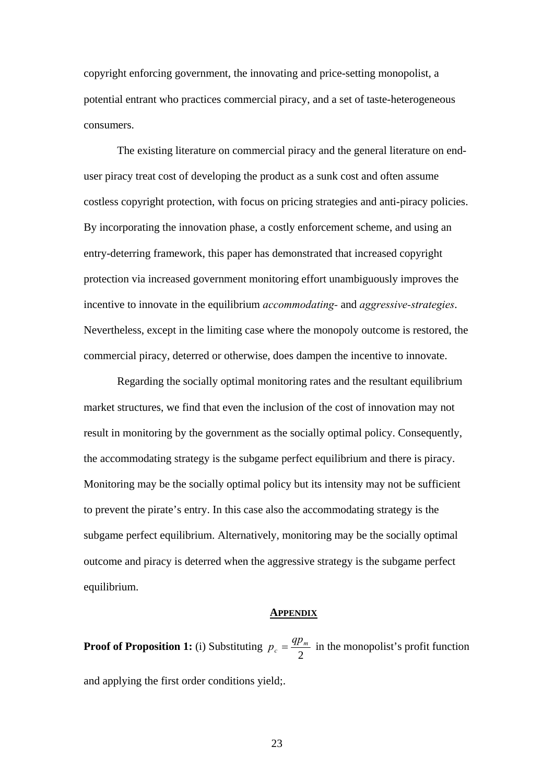copyright enforcing government, the innovating and price-setting monopolist, a potential entrant who practices commercial piracy, and a set of taste-heterogeneous consumers.

The existing literature on commercial piracy and the general literature on enduser piracy treat cost of developing the product as a sunk cost and often assume costless copyright protection, with focus on pricing strategies and anti-piracy policies. By incorporating the innovation phase, a costly enforcement scheme, and using an entry-deterring framework, this paper has demonstrated that increased copyright protection via increased government monitoring effort unambiguously improves the incentive to innovate in the equilibrium *accommodating-* and *aggressive-strategies*. Nevertheless, except in the limiting case where the monopoly outcome is restored, the commercial piracy, deterred or otherwise, does dampen the incentive to innovate.

 Regarding the socially optimal monitoring rates and the resultant equilibrium market structures, we find that even the inclusion of the cost of innovation may not result in monitoring by the government as the socially optimal policy. Consequently, the accommodating strategy is the subgame perfect equilibrium and there is piracy. Monitoring may be the socially optimal policy but its intensity may not be sufficient to prevent the pirate's entry. In this case also the accommodating strategy is the subgame perfect equilibrium. Alternatively, monitoring may be the socially optimal outcome and piracy is deterred when the aggressive strategy is the subgame perfect equilibrium.

#### **APPENDIX**

**Proof of Proposition 1:** (i) Substituting  $p_c = \frac{4P_m}{2}$  $p_c = \frac{qp_m}{q}$  in the monopolist's profit function and applying the first order conditions yield;.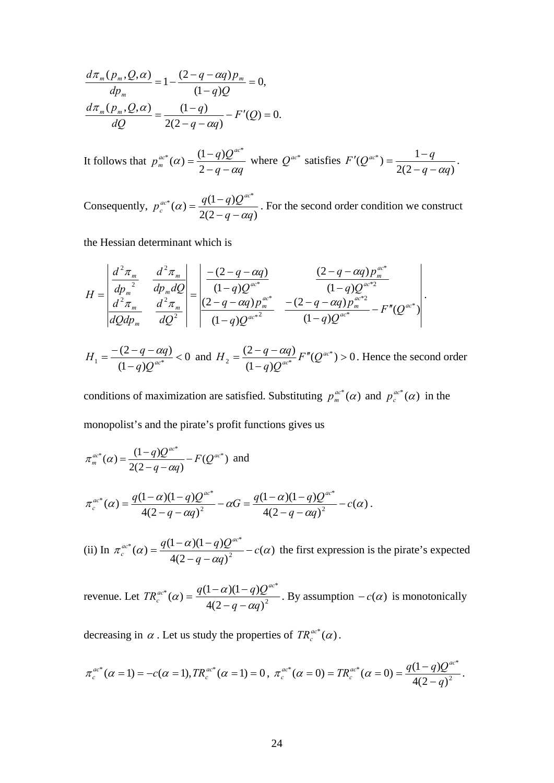$$
\frac{d\pi_m(p_m, Q, \alpha)}{dp_m} = 1 - \frac{(2 - q - \alpha q)p_m}{(1 - q)Q} = 0,
$$
  

$$
\frac{d\pi_m(p_m, Q, \alpha)}{dQ} = \frac{(1 - q)}{2(2 - q - \alpha q)} - F'(Q) = 0.
$$

It follows that  $q - \alpha q$  $p_m^{ac*}(\alpha) = \frac{(1-q)Q^{ac}}{2\pi}$  $C_m^{ac*}(\alpha) = \frac{(1-q)Q^{ac*}}{2-q-\alpha q}$  where  $Q^{ac*}$  satisfies  $2(2 - q - \alpha q)$  $(Q^{ac^*}) = \frac{1}{(2\pi)^n}$  $q - \alpha q$  $F'(Q^{ac^*}) = \frac{1-q}{\sqrt{2\pi}}$  $-q - \alpha$  $' (Q^{ac^*}) = \frac{1-q}{\sqrt{1-q}}$ .

Consequently,  $p_c^{ac*}(\alpha) = \frac{q(1-q)Q^{ac*}}{2(2-q-\alpha q)}$  $q - \alpha q$  $p_c^{ac*}(\alpha) = \frac{q(1-q)Q^{ac}}{2\alpha}$  $\alpha$ <sup>c</sup>  $(\alpha) = \frac{1}{2(2-q-\alpha)}$  $=\frac{q(1-q)Q^{ac}}{2\pi\epsilon}$ . For the second order condition we construct

the Hessian determinant which is

$$
H = \begin{vmatrix} \frac{d^2 \pi_m}{dp_m^2} & \frac{d^2 \pi_m}{dp_m dQ} \\ \frac{d^2 \pi_m}{dQ dp_m} & \frac{d^2 \pi_m}{dQ^2} \end{vmatrix} = \begin{vmatrix} -(2-q-\alpha q) & \frac{(2-q-\alpha q)p_m^{\alpha c^*}}{(1-q)Q^{\alpha c^*}} \\ \frac{(2-q-\alpha q)p_m^{\alpha c^*}}{(1-q)Q^{\alpha c^*}} & \frac{-(2-q-\alpha q)p_m^{\alpha c^*2}}{(1-q)Q^{\alpha c^*}} - F''(Q^{\alpha c^*}) \end{vmatrix}.
$$

0  $(1 - q)$  $H_1 = \frac{-(2-q-aq)}{(1-q)Q^{ac}} \lt 0$  and  $H_2 = \frac{(2-q-aq)}{(1-q)Q^{ac}} F''(Q^{ac}) > 0$  $(1 - q)$  $\alpha_2 = \frac{(2-q-aq)}{(1-q)Q^{ac}} F''(Q^{ac})$  $H_2 = \frac{(2-q-\alpha q)}{(q-\alpha)^2} F''(Q^{\alpha c^*}) > 0$ . Hence the second order

conditions of maximization are satisfied. Substituting  $p_m^{ac*}(\alpha)$  and  $p_c^{ac*}(\alpha)$  in the monopolist's and the pirate's profit functions gives us

$$
\pi_m^{ac*}(\alpha) = \frac{(1-q)Q^{ac*}}{2(2-q-\alpha q)} - F(Q^{ac*}) \text{ and}
$$
  

$$
\pi_c^{ac*}(\alpha) = \frac{q(1-\alpha)(1-q)Q^{ac*}}{4(2-q-\alpha q)^2} - \alpha G = \frac{q(1-\alpha)(1-q)Q^{ac*}}{4(2-q-\alpha q)^2} - c(\alpha).
$$

(ii) In  $\pi_c^{ac*}(\alpha) = \frac{q(1-\alpha)(1-q)Q^{ac*}}{4(2-q-\alpha q)^2} - c(\alpha)$ α  $\pi_c^{ac*}(\alpha) = \frac{q(1-\alpha)(1-q)Q^{-\alpha}}{1-q(1-q)Q^{-\alpha}} - c$  $q - \alpha q$  $\frac{q^{a c^*}}{4(2-q-\alpha q)^2} - c(\alpha)$  the first expression is the pirate's expected

revenue. Let  $TR_c^{ac*}(\alpha) = \frac{q(1-\alpha)(1-q)Q^{ac*}}{4(2-\alpha)(\alpha)^2}$  $4(2 - q - \alpha q)$  $(1 - \alpha)(1 - q)$  $q - \alpha q$  $q(1-\alpha)(1-q)Q^{ac}$ α α  $-q -\alpha$ )(1-q)Q<sup>ac\*</sup>. By assumption  $-c(\alpha)$  is monotonically

decreasing in  $\alpha$ . Let us study the properties of  $TR_c^{ac*}(\alpha)$ .

$$
\pi_c^{ac^*}(\alpha=1) = -c(\alpha=1), TR_c^{ac^*}(\alpha=1) = 0, \ \pi_c^{ac^*}(\alpha=0) = TR_c^{ac^*}(\alpha=0) = \frac{q(1-q)Q^{ac^*}}{4(2-q)^2}.
$$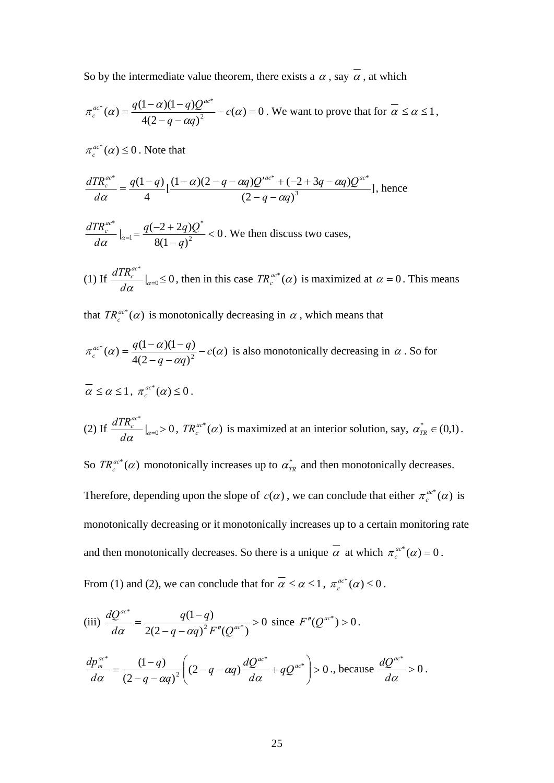So by the intermediate value theorem, there exists a  $\alpha$ , say  $\alpha$ , at which

$$
\pi_c^{ac^*}(\alpha) = \frac{q(1-\alpha)(1-q)Q^{ac^*}}{4(2-q-\alpha q)^2} - c(\alpha) = 0.
$$
 We want to prove that for  $\alpha \le \alpha \le 1$ ,

 $\pi_c^{ac*}(\alpha) \leq 0$ . Note that

$$
\frac{dTR_c^{ac*}}{d\alpha} = \frac{q(1-q)}{4} \left[ \frac{(1-\alpha)(2-q-\alpha q)Q'^{ac*} + (-2+3q-\alpha q)Q^{ac*}}{(2-q-\alpha q)^3} \right], \text{ hence}
$$

$$
\frac{dTR_c^{ac*}}{d\alpha}\big|_{\alpha=1} = \frac{q(-2+2q)Q^*}{8(1-q)^2} < 0.
$$
 We then discuss two cases,

 $(1)$  If  $\frac{u_1 u_c}{u_1} \Big|_{\alpha=0} \leq 0$ \*  $rac{d\alpha}{d\alpha}$ <sub> $\big|_{\alpha=0}$ </sub> ≤  $\frac{dTR_c^{ac}}{da} \big|_{\alpha=0} \leq 0$ , then in this case  $TR_c^{ac*}(\alpha)$  is maximized at  $\alpha = 0$ . This means

that  $TR_c^{ac*}(\alpha)$  is monotonically decreasing in  $\alpha$ , which means that

$$
\pi_c^{ac*}(\alpha) = \frac{q(1-\alpha)(1-q)}{4(2-q-\alpha q)^2} - c(\alpha)
$$
 is also monotonically decreasing in  $\alpha$ . So for

$$
\overline{\alpha} \leq \alpha \leq 1, \ \pi_c^{ac^*}(\alpha) \leq 0.
$$

(2) If 
$$
\frac{dTR_c^{ac^*}}{d\alpha}|_{\alpha=0} > 0
$$
,  $TR_c^{ac^*}(\alpha)$  is maximized at an interior solution, say,  $\alpha_{TR}^* \in (0,1)$ .

So  $TR_c^{ac*}(\alpha)$  monotonically increases up to  $\alpha_{TR}^*$  and then monotonically decreases.

Therefore, depending upon the slope of  $c(\alpha)$ , we can conclude that either  $\pi_c^{ac*}(\alpha)$  is monotonically decreasing or it monotonically increases up to a certain monitoring rate and then monotonically decreases. So there is a unique  $\alpha$  at which  $\pi_c^{ac*}(\alpha) = 0$ .

From (1) and (2), we can conclude that for  $\alpha \leq \alpha \leq 1$ ,  $\pi_c^{ac*}(\alpha) \leq 0$ .

(iii) 
$$
\frac{dQ^{ac}}{d\alpha} = \frac{q(1-q)}{2(2-q-\alpha q)^2 F''(Q^{ac^*})} > 0 \text{ since } F''(Q^{ac^*}) > 0.
$$

$$
\frac{dp_m^{ac^*}}{d\alpha} = \frac{(1-q)}{(2-q-\alpha q)^2} \left( (2-q-\alpha q) \frac{dQ^{ac^*}}{d\alpha} + qQ^{ac^*} \right) > 0.
$$
, because  $\frac{dQ^{ac^*}}{d\alpha} > 0$ .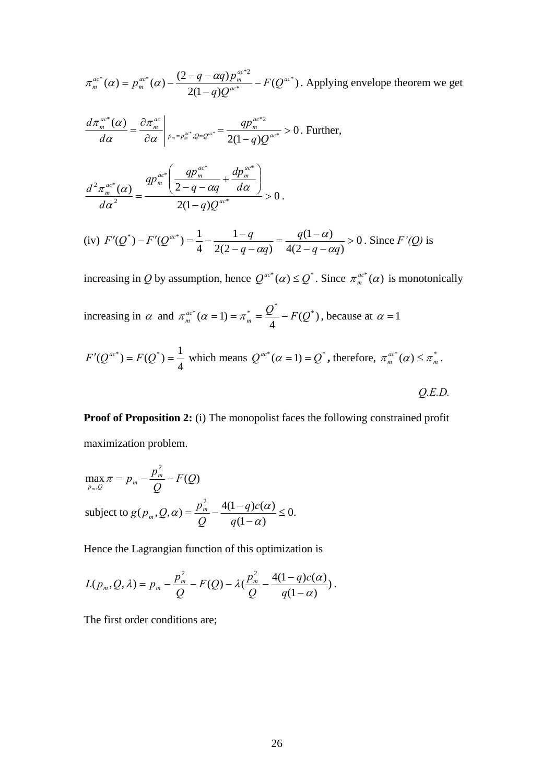$$
\pi_m^{ac*}(\alpha) = p_m^{ac*}(\alpha) - \frac{(2-q-\alpha q)p_m^{ac*2}}{2(1-q)Q^{ac*}} - F(Q^{ac*})
$$
. Applying envelope theorem we get

$$
\frac{d\pi_m^{ac*}(\alpha)}{d\alpha} = \frac{\partial \pi_m^{ac}}{\partial \alpha}\bigg|_{p_m = p_m^{ac^*}, Q = Q^{ac^*}} = \frac{qp_m^{ac^{*}2}}{2(1-q)Q^{ac^{*}}} > 0. \text{ Further,}
$$

$$
\frac{d^2 \pi_{m}^{ac^*}(\alpha)}{d\alpha^2} = \frac{qp_{m}^{ac^*}\left(\frac{qp_{m}^{ac^*}}{2-q-\alpha q}+\frac{dp_{m}^{ac^*}}{d\alpha}\right)}{2(1-q)Q^{ac^*}} > 0.
$$

(iv) 
$$
F'(Q^*) - F'(Q^{ac^*}) = \frac{1}{4} - \frac{1-q}{2(2-q-\alpha q)} = \frac{q(1-\alpha)}{4(2-q-\alpha q)} > 0
$$
. Since  $F'(Q)$  is

increasing in *Q* by assumption, hence  $Q^{ac^*}(\alpha) \leq Q^*$ . Since  $\pi_m^{ac^*}(\alpha)$  is monotonically

increasing in  $\alpha$  and  $\pi_m^{ac*}(\alpha = 1) = \pi_m^* = \frac{Q^*}{4} - F(Q^*)$ , because at  $\alpha = 1$ 

$$
F'(Q^{ac^*}) = F(Q^*) = \frac{1}{4}
$$
 which means  $Q^{ac^*}(\alpha = 1) = Q^*$ , therefore,  $\pi_m^{ac^*}(\alpha) \le \pi_m^*$ .

*Q.E.D.* 

**Proof of Proposition 2:** (i) The monopolist faces the following constrained profit maximization problem.

$$
\max_{p_m, Q} \pi = p_m - \frac{p_m^2}{Q} - F(Q)
$$
  
subject to  $g(p_m, Q, \alpha) = \frac{p_m^2}{Q} - \frac{4(1-q)c(\alpha)}{q(1-\alpha)} \le 0$ .

Hence the Lagrangian function of this optimization is

$$
L(p_m,Q,\lambda)=p_m-\frac{p_m^2}{Q}-F(Q)-\lambda(\frac{p_m^2}{Q}-\frac{4(1-q)c(\alpha)}{q(1-\alpha)})\,.
$$

The first order conditions are;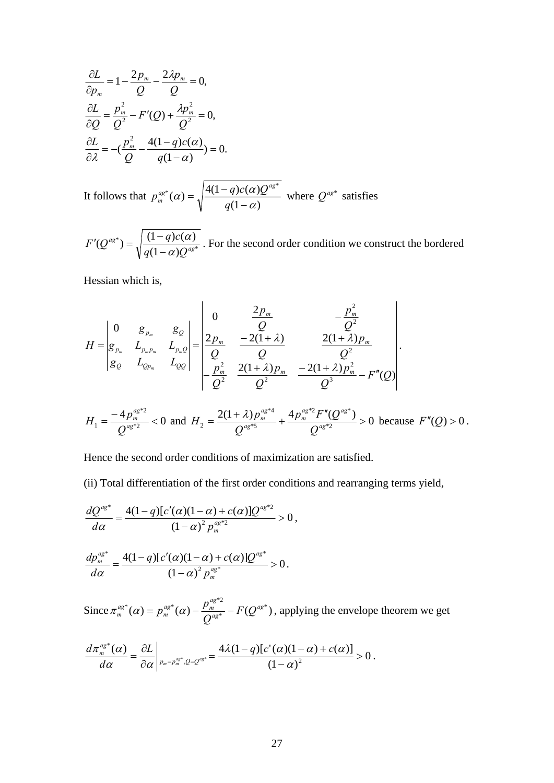$$
\frac{\partial L}{\partial p_m} = 1 - \frac{2p_m}{Q} - \frac{2\lambda p_m}{Q} = 0,
$$
  

$$
\frac{\partial L}{\partial Q} = \frac{p_m^2}{Q^2} - F'(Q) + \frac{\lambda p_m^2}{Q^2} = 0,
$$
  

$$
\frac{\partial L}{\partial \lambda} = -(\frac{p_m^2}{Q} - \frac{4(1-q)c(\alpha)}{q(1-\alpha)}) = 0.
$$

It follows that  $(1 - \alpha)$  $f^*(\alpha) = \sqrt{\frac{4(1-q)c(\alpha)Q^{ag}}{4(1-q)c(\alpha)Q^{ag}}}$ α  $p_m^{ag*}(\alpha) = \sqrt{\frac{4(1-q)c(\alpha)Q^{ag*}}{q(1-\alpha)}}$  where  $Q^{ag*}$  satisfies

\* \*  $(Q^{ag*}) = \sqrt{\frac{(1-q)c(\alpha)}{q(1-\alpha)Q^{ag}}}$  $q(1-\alpha)Q$  $F'(Q^{ag*}) = \sqrt{\frac{(1-q)c}{a(1-\alpha)}}$ α −  $' (Q^{ag^*}) = \sqrt{\frac{(1-q)c(\alpha)}{(1-q)c(\alpha)}}$ . For the second order condition we construct the bordered

Hessian which is,

$$
H = \begin{vmatrix} 0 & g_{p_m} & g_Q \\ g_{p_m} & L_{p_m p_m} & L_{p_m Q} \\ g_Q & L_{Q p_m} & L_{Q Q} \end{vmatrix} = \frac{\begin{vmatrix} 0 & \frac{2p_m}{Q} & -\frac{p_m^2}{Q^2} \\ \frac{2p_m}{Q} & -\frac{2(1+\lambda)}{Q} & \frac{2(1+\lambda)p_m}{Q^2} \\ \frac{p_m^2}{Q^2} & \frac{2(1+\lambda)p_m}{Q^2} & -\frac{2(1+\lambda)p_m^2}{Q^3} - F''(Q) \end{vmatrix}.
$$

$$
H_1 = \frac{-4p_m^{a g^{*2}}}{Q^{a g^{*2}}} < 0 \text{ and } H_2 = \frac{2(1+\lambda)p_m^{a g^{*4}}}{Q^{a g^{*5}}} + \frac{4p_m^{a g^{*2}} F''(Q^{a g^{*}})}{Q^{a g^{*2}}} > 0 \text{ because } F''(Q) > 0.
$$

Hence the second order conditions of maximization are satisfied.

(ii) Total differentiation of the first order conditions and rearranging terms yield,

$$
\frac{dQ^{ag}}{d\alpha} = \frac{4(1-q)[c'(\alpha)(1-\alpha)+c(\alpha)]Q^{ag}}{(1-\alpha)^2 p_m^{ag}} > 0,
$$

$$
\frac{dp_m^{aS*}}{d\alpha} = \frac{4(1-q)[c'(\alpha)(1-\alpha)+c(\alpha)]Q^{aS*}}{(1-\alpha)^2 p_m^{aS*}} > 0.
$$

Since  $\pi_m^{ag^*}(\alpha) = p_m^{ag^*}(\alpha) - \frac{p_m}{\alpha^{ag^*}} - F(Q^{ag^*})$ \* \*  $(\alpha)$  =  $n^{ag^*}(\alpha)$   $p_m^{ag^{*}2}$   $F(\Omega^{ag})$ *ag*  $\frac{a g^*}{m}(\alpha) - \frac{p_m^{ag}}{Q_g^{ag}}$  $\pi_m^{ag^*}(\alpha) = p_m^{ag^*}(\alpha) - \frac{p_m^{ag^{*2}}}{Q^{ag^*}} - F(Q^{ag^*})$ , applying the envelope theorem we get

$$
\frac{d\pi_m^{ag^*}(\alpha)}{d\alpha}=\frac{\partial L}{\partial \alpha}\left|_{p_m=p_m^{ag^*},Q=Q^{ag^*}}=\frac{4\lambda(1-q)[c'(\alpha)(1-\alpha)+c(\alpha)]}{(1-\alpha)^2}>0.
$$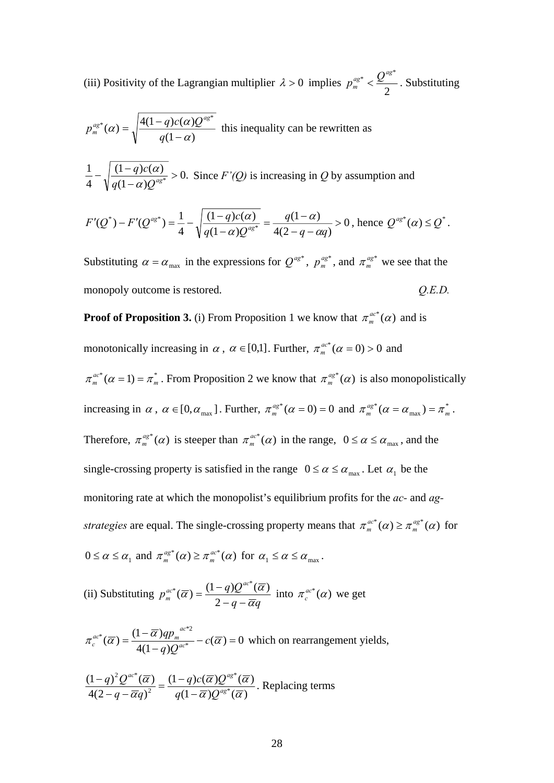(iii) Positivity of the Lagrangian multiplier  $\lambda > 0$  implies  $p_m^{ag*} < \frac{Q}{2}$  ${ag}^*$   $\mathcal{Q}^{ag*}$  $p_m^{ag*} < \frac{Q^{ag*}}{2}$ . Substituting

$$
p_m^{ag*}(\alpha) = \sqrt{\frac{4(1-q)c(\alpha)Q^{ag*}}{q(1-\alpha)}}
$$
 this inequality can be rewritten as  
\n
$$
\frac{1}{4} - \sqrt{\frac{(1-q)c(\alpha)}{q(1-\alpha)Q^{ag*}}} > 0.
$$
 Since  $F'(Q)$  is increasing in  $Q$  by assumption and  
\n
$$
F'(Q^*) - F'(Q^{ag*}) = \frac{1}{4} - \sqrt{\frac{(1-q)c(\alpha)}{q(1-\alpha)Q^{ag*}}} = \frac{q(1-\alpha)}{4(2-q-\alpha q)} > 0, \text{ hence } Q^{ag*}(\alpha) \le Q^*.
$$

Substituting  $\alpha = \alpha_{\text{max}}$  in the expressions for  $Q^{ag^*}$ ,  $p_m^{ag^*}$ , and  $\pi_m^{ag^*}$  we see that the monopoly outcome is restored.  $Q.E.D.$ 

**Proof of Proposition 3.** (i) From Proposition 1 we know that  $\pi_m^{ac*}(\alpha)$  and is

monotonically increasing in  $\alpha$ ,  $\alpha \in [0,1]$ . Further,  $\pi_m^{ac*}(\alpha = 0) > 0$  and

 $\pi_m^{ac*}(\alpha = 1) = \pi_m^*$ . From Proposition 2 we know that  $\pi_m^{ac*}(\alpha)$  is also monopolistically increasing in  $\alpha$ ,  $\alpha \in [0, \alpha_{max}]$ . Further,  $\pi_m^{ag*}(\alpha = 0) = 0$  and  $\pi_m^{ag*}(\alpha = \alpha_{max}) = \pi_m^*$  $\pi_m^{ag^*}(\alpha = \alpha_{\text{max}}) = \pi_m^*$ . Therefore,  $\pi_m^{ag*}(\alpha)$  is steeper than  $\pi_m^{ac*}(\alpha)$  in the range,  $0 \le \alpha \le \alpha_{max}$ , and the single-crossing property is satisfied in the range  $0 \le \alpha \le \alpha_{\text{max}}$ . Let  $\alpha_1$  be the monitoring rate at which the monopolist's equilibrium profits for the *ac-* and *agstrategies* are equal. The single-crossing property means that  $\pi_m^{ac*}(\alpha) \geq \pi_m^{ag*}(\alpha)$  $m_m^{ac*}(\alpha) \geq \pi_m^{ag*}(\alpha)$  for  $0 \le \alpha \le \alpha_1$  and  $\pi_m^{ag^*}(\alpha) \ge \pi_m^{ac^*}(\alpha)$  $\pi_m^{a g^*}(\alpha) \geq \pi_m^{a c^*}(\alpha)$  for  $\alpha_1 \leq \alpha \leq \alpha_{\text{max}}$ .

(ii) Substituting  $q - \overline{\alpha}q$  $p_m^{ac*}(\overline{\alpha}) = \frac{(1-q)Q^{ac}}{2}$  $m(\alpha)$  –  $2 - a - \overline{\alpha}$  $a^*(\overline{\alpha}) = \frac{(1-q)Q^{\alpha c^*}(\overline{\alpha})}{2-q-\overline{\alpha}q}$  into  $\pi_c^{\alpha c^*}(\alpha)$  we get

$$
\pi_c^{ac*}(\overline{\alpha}) = \frac{(1-\overline{\alpha})qp_m^{ac*2}}{4(1-q)Q^{ac*}} - c(\overline{\alpha}) = 0
$$
 which on rearrangement yields,

$$
\frac{(1-q)^2 Q^{ac^*}(\overline{\alpha})}{4(2-q-\overline{\alpha}q)^2} = \frac{(1-q)c(\overline{\alpha})Q^{ag^*}(\overline{\alpha})}{q(1-\overline{\alpha})Q^{ag^*}(\overline{\alpha})}.
$$
 Replacing terms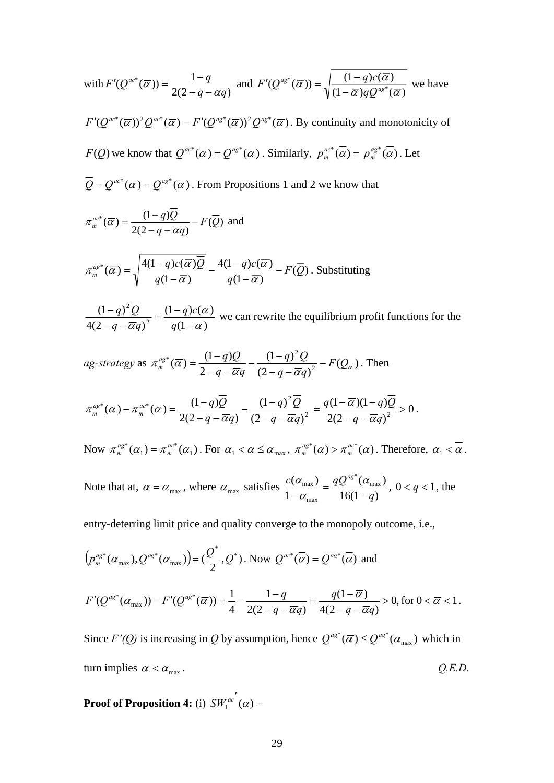with 
$$
F'(Q^{ac^*}(\overline{\alpha})) = \frac{1-q}{2(2-q-\overline{\alpha}q)}
$$
 and  $F'(Q^{ag^*}(\overline{\alpha})) = \sqrt{\frac{(1-q)c(\overline{\alpha})}{(1-\overline{\alpha})qQ^{ag^*}(\overline{\alpha})}}$  we have

 $F'(Q^{ac*}(\overline{\alpha}))^2 Q^{ac*}(\overline{\alpha}) = F'(Q^{ag*}(\overline{\alpha}))^2 Q^{ag*}(\overline{\alpha})$ . By continuity and monotonicity of *F*(*Q*) we know that  $Q^{ac^*}(\overline{\alpha}) = Q^{ag^*}(\overline{\alpha})$ . Similarly,  $p_m^{ac^*}(\overline{\alpha}) = p_m^{ag^*}(\overline{\alpha})$ . Let

 $\overline{Q} = Q^{ac^*}(\overline{\alpha}) = Q^{ag^*}(\overline{\alpha})$ . From Propositions 1 and 2 we know that

$$
\pi_m^{ac*}(\overline{\alpha}) = \frac{(1-q)Q}{2(2-q-\overline{\alpha}q)} - F(\overline{Q}) \text{ and}
$$
  

$$
\pi_m^{ag*}(\overline{\alpha}) = \sqrt{\frac{4(1-q)c(\overline{\alpha})\overline{Q}}{q(1-\overline{\alpha})}} - \frac{4(1-q)c(\overline{\alpha})}{q(1-\overline{\alpha})} - F(\overline{Q}).
$$
 Substituting

 $(1 - \overline{\alpha})$  $(1 - q) c(\overline{\alpha})$  $4(2 - q - \overline{\alpha}q)$  $(1 - q)$ 2 2 α α  $\frac{(1-q)^2 Q}{(1-q-q)^2} = \frac{(1-q)}{q(1-q)}$ *q q c*  $q - \overline{\alpha}q$  $q^2 Q$  =  $\frac{(1-q)c(\overline{\alpha})}{\overline{\alpha}}$  we can rewrite the equilibrium profit functions for the

*ag-strategy* as 
$$
\pi_m^{ag*}(\overline{\alpha}) = \frac{(1-q)\overline{Q}}{2-q-\overline{\alpha}q} - \frac{(1-q)^2\overline{Q}}{(2-q-\overline{\alpha}q)^2} - F(Q_{\overline{\alpha}})
$$
. Then

$$
\pi_m^{ag^*}(\overline{\alpha}) - \pi_m^{ac^*}(\overline{\alpha}) = \frac{(1-q)\overline{Q}}{2(2-q-\overline{\alpha}q)} - \frac{(1-q)^2\overline{Q}}{(2-q-\overline{\alpha}q)^2} = \frac{q(1-\overline{\alpha})(1-q)\overline{Q}}{2(2-q-\overline{\alpha}q)^2} > 0.
$$

Now  $\pi_m^{ag^*}(\alpha_1) = \pi_m^{ac^*}(\alpha_1)$  $\pi_m^{ag*}(\alpha_1) = \pi_m^{ac*}(\alpha_2)$  $\sigma_m^{a g^*}(\alpha_1) = \pi_m^{a c^*}(\alpha_1)$ . For  $\alpha_1 < \alpha \le \alpha_{\max}$ ,  $\pi_m^{a g^*}(\alpha) > \pi_m^{a c^*}(\alpha)$  $m_m^{a}(\alpha) > \pi_m^{a}(\alpha)$ . Therefore,  $\alpha_1 < \alpha$ .

Note that at,  $\alpha = \alpha_{\text{max}}$ , where  $\alpha_{\text{max}}$  satisfies  $\frac{C(\alpha_{\text{max}})}{1 - \alpha_{\text{max}}} = \frac{qg}{16(1-q)}$  $(\alpha_{\text{max}})$ 1  $(\alpha_{\text{max}})$   $_{-}$   $qQ^{ag^*}(\alpha_{\text{max}})$ max max *q*  $c(\alpha_{\text{max}})$  *q*Q<sup>*ag*</sup>  $\frac{(\alpha_{\text{max}})}{-\alpha_{\text{max}}} = \frac{qQ^{-\alpha}(\alpha)}{16(1-\alpha)}$  $\frac{\alpha_{\text{max}}}{\alpha_{\text{max}}} = \frac{qQ^{\text{log}}(\alpha_{\text{max}})}{16(1-q)}, 0 < q < 1$ , the

entry-deterring limit price and quality converge to the monopoly outcome, i.e.,

$$
\left(p_{m}^{as^*}(\alpha_{\max}), Q^{as^*}(\alpha_{\max})\right) = \left(\frac{Q^*}{2}, Q^*\right). \text{ Now } Q^{ac^*}(\overline{\alpha}) = Q^{as^*}(\overline{\alpha}) \text{ and}
$$

$$
F'(Q^{ag^*}(\alpha_{\max})) - F'(Q^{ag^*}(\overline{\alpha})) = \frac{1}{4} - \frac{1-q}{2(2-q-\overline{\alpha}q)} = \frac{q(1-\overline{\alpha})}{4(2-q-\overline{\alpha}q)} > 0, \text{ for } 0 < \overline{\alpha} < 1.
$$

Since  $F'(Q)$  is increasing in Q by assumption, hence  $Q^{ag^*}(\overline{\alpha}) \leq Q^{ag^*}(\alpha_{\max})$  which in turn implies  $\overline{\alpha} < \alpha_{\text{max}}$ .  $Q.E.D.$ 

**Proof of Proposition 4:** (i)  $SW_1^{ac'}(\alpha) =$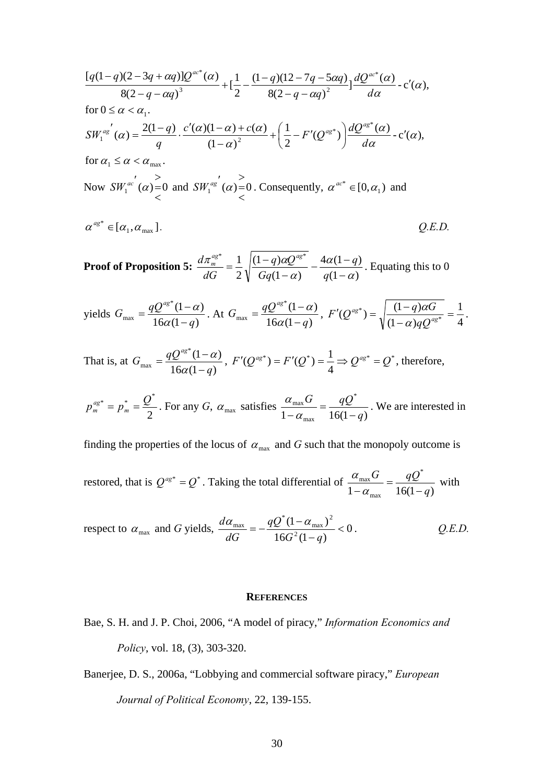$$
\frac{[q(1-q)(2-3q+\alpha q)]Q^{ac^{*}}(\alpha)}{8(2-q-\alpha q)^{3}} + \left[\frac{1}{2} - \frac{(1-q)(12-7q-5\alpha q)}{8(2-q-\alpha q)^{2}}\right] \frac{dQ^{ac^{*}}(\alpha)}{d\alpha} - c'(\alpha),
$$
  
\nfor  $0 \le \alpha < \alpha_{1}$ .  
\n
$$
SW_{1}^{ac'}(\alpha) = \frac{2(1-q)}{q} \cdot \frac{c'(\alpha)(1-\alpha)+c(\alpha)}{(1-\alpha)^{2}} + \left(\frac{1}{2} - F'(Q^{ag^{*}})\right) \frac{dQ^{ag^{*}}(\alpha)}{d\alpha} - c'(\alpha),
$$
  
\nfor  $\alpha_{1} \le \alpha < \alpha_{\text{max}}$ .  
\nNow  $SW_{1}^{ac'}(\alpha) = 0$  and  $SW_{1}^{ag'}(\alpha) = 0$ . Consequently,  $\alpha^{ac^{*}} \in [0, \alpha_{1})$  and  
\n $\alpha^{ag^{*}} \in [\alpha_{1}, \alpha_{\text{max}}]$ .  
\n $Q.E.D.$ 

**Proof of Proposition 5:**  $\frac{d\pi_m^{ags}}{dG} = \frac{1}{2} \sqrt{\frac{(1-q)\alpha Q^{ags}}{Gq(1-\alpha)}} - \frac{4\alpha(1-q)}{q(1-\alpha)}$  $(1 - \alpha)$  $(1 - q)$ 2 \* 1  $(1-q)\alpha Q^{ag*}$ α α α  $\pi$ <sup>o</sup> 1  $(1-q)\alpha$  $=\frac{1}{2}\sqrt{\frac{(1-q)\alpha Q^{a\textit{g}}^*}{Gq(1-\alpha)}}-\frac{4\alpha(1-q)}{q(1-\alpha)}$ *Gq*  $q)$  $\alpha$ <sup>Q</sup> *dG*  $\frac{d\pi_{\text{mg}}^{a\text{g}}}{dt} = \frac{1}{2} \sqrt{\frac{(1-q)\alpha Q^{a\text{g}}}{\sqrt{q}} - \frac{4\alpha(1-q)}{q}}$  Equating this to 0

yields 
$$
G_{\text{max}} = \frac{qQ^{ag^*}(1-\alpha)}{16\alpha(1-q)}
$$
. At  $G_{\text{max}} = \frac{qQ^{ag^*}(1-\alpha)}{16\alpha(1-q)}$ ,  $F'(Q^{ag^*}) = \sqrt{\frac{(1-q)\alpha G}{(1-\alpha)qQ^{ag^*}}} = \frac{1}{4}$ .

That is, at  $G_{\text{max}} = \frac{qQ}{16\alpha(1-q)}$  $^*(1 - \alpha)$  $\frac{max}{16\alpha(1-q)}$  $G_{\text{max}} = \frac{qQ^{ag}}{qQ^{ag}}$ −  $=\frac{qQ^{a\text{g*}}(1-\alpha)}{16\alpha(1-a)},\; F'(Q^{a\text{g*}})=F'(Q^*)=\frac{1}{4} \Rightarrow Q^{a\text{g*}}=Q^*$ 4  $F'(Q^{ag^*}) = F'(Q^*) = \frac{1}{q} \Rightarrow Q^{ag^*} = Q^*$ , therefore,

2  $p_m^{ag*} = p_m^* = \frac{Q^*}{2}$ . For any *G*,  $\alpha_{\text{max}}$  satisfies  $\frac{\alpha_{\text{max}} G}{1 - \alpha_{\text{max}}} = \frac{qQ^*}{16(1-q)}$ \* max max *q*  $\frac{\alpha_{\text{max}}G}{1-\alpha_{\text{max}}} = \frac{qQ^*}{16(1-q)}$ . We are interested in

finding the properties of the locus of  $\alpha_{\text{max}}$  and G such that the monopoly outcome is

restored, that is  $Q^{ag^*} = Q^*$ . Taking the total differential of  $\frac{\alpha_{\text{max}}G}{1 - \alpha_{\text{max}}} = \frac{qQ^*}{16(1-q)}$ max max *q*  $rac{\alpha_{\text{max}}G}{-\alpha_{\text{max}}} = \frac{qQ^*}{16(1-q)}$  with

respect to 
$$
\alpha_{\text{max}}
$$
 and G yields, 
$$
\frac{d\alpha_{\text{max}}}{dG} = -\frac{qQ^*(1-\alpha_{\text{max}})^2}{16G^2(1-q)} < 0.
$$
 Q.E.D.

#### **REFERENCES**

- Bae, S. H. and J. P. Choi, 2006, "A model of piracy," *Information Economics and Policy*, vol. 18, (3), 303-320.
- Banerjee, D. S., 2006a, "Lobbying and commercial software piracy," *European Journal of Political Economy*, 22, 139-155.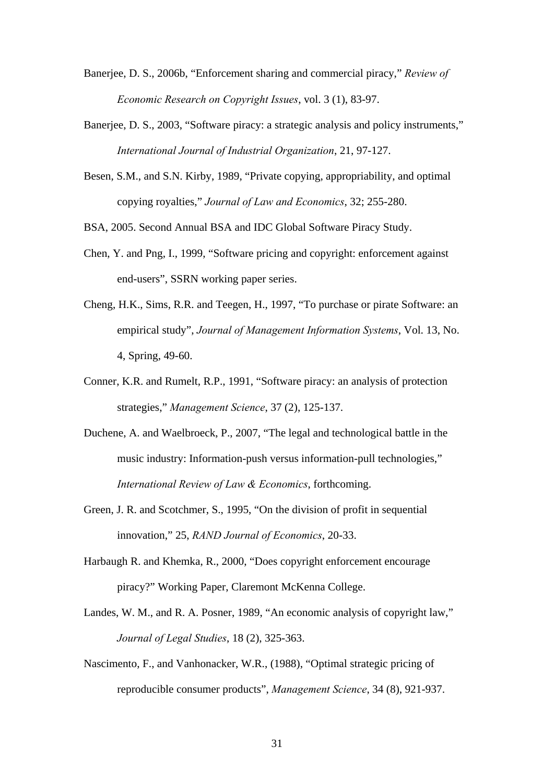- Banerjee, D. S., 2006b, "Enforcement sharing and commercial piracy," *Review of Economic Research on Copyright Issues*, vol. 3 (1), 83-97.
- Banerjee, D. S., 2003, "Software piracy: a strategic analysis and policy instruments," *International Journal of Industrial Organization*, 21, 97-127.
- Besen, S.M., and S.N. Kirby, 1989, "Private copying, appropriability, and optimal copying royalties," *Journal of Law and Economics*, 32; 255-280.
- BSA, 2005. Second Annual BSA and IDC Global Software Piracy Study.
- Chen, Y. and Png, I., 1999, "Software pricing and copyright: enforcement against end-users", SSRN working paper series.
- Cheng, H.K., Sims, R.R. and Teegen, H., 1997, "To purchase or pirate Software: an empirical study", *Journal of Management Information Systems*, Vol. 13, No. 4, Spring, 49-60.
- Conner, K.R. and Rumelt, R.P., 1991, "Software piracy: an analysis of protection strategies," *Management Science*, 37 (2), 125-137.
- Duchene, A. and Waelbroeck, P., 2007, "The legal and technological battle in the music industry: Information-push versus information-pull technologies," *International Review of Law & Economics*, forthcoming.
- Green, J. R. and Scotchmer, S., 1995, "On the division of profit in sequential innovation," 25, *RAND Journal of Economics*, 20-33.
- Harbaugh R. and Khemka, R., 2000, "Does copyright enforcement encourage piracy?" Working Paper, Claremont McKenna College.
- Landes, W. M., and R. A. Posner, 1989, "An economic analysis of copyright law," *Journal of Legal Studies*, 18 (2), 325-363.
- Nascimento, F., and Vanhonacker, W.R., (1988), "Optimal strategic pricing of reproducible consumer products", *Management Science*, 34 (8), 921-937.